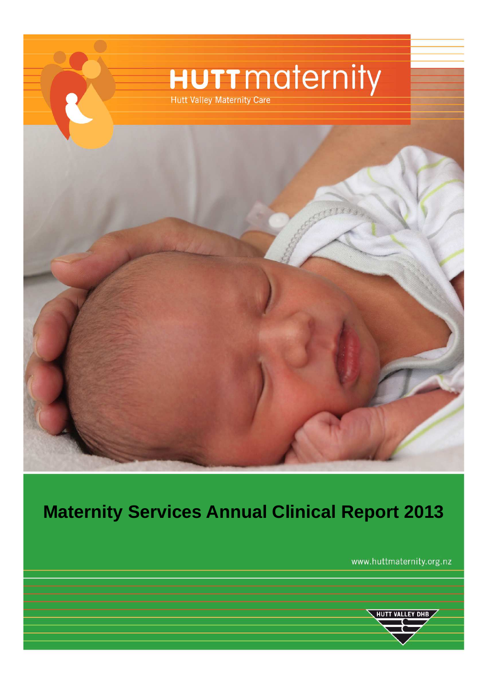

# **Maternity Services Annual Clinical Report 2013**

www.huttmaternity.org.nz

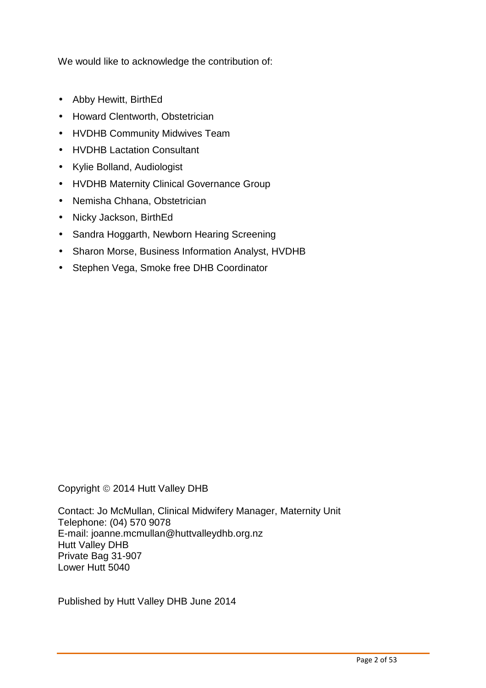We would like to acknowledge the contribution of:

- Abby Hewitt, BirthEd
- Howard Clentworth, Obstetrician
- HVDHB Community Midwives Team
- HVDHB Lactation Consultant
- Kylie Bolland, Audiologist
- HVDHB Maternity Clinical Governance Group
- Nemisha Chhana, Obstetrician
- Nicky Jackson, BirthEd
- Sandra Hoggarth, Newborn Hearing Screening
- Sharon Morse, Business Information Analyst, HVDHB
- Stephen Vega, Smoke free DHB Coordinator

Copyright © 2014 Hutt Valley DHB

Contact: Jo McMullan, Clinical Midwifery Manager, Maternity Unit Telephone: (04) 570 9078 E-mail: joanne.mcmullan@huttvalleydhb.org.nz Hutt Valley DHB Private Bag 31-907 Lower Hutt 5040

Published by Hutt Valley DHB June 2014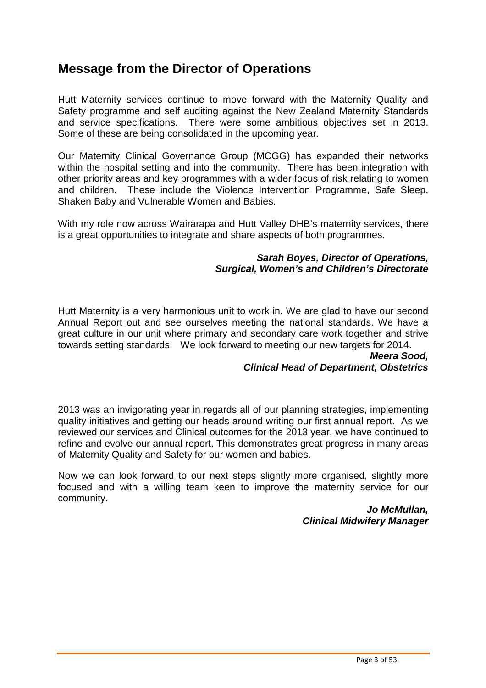# **Message from the Director of Operations**

Hutt Maternity services continue to move forward with the Maternity Quality and Safety programme and self auditing against the New Zealand Maternity Standards and service specifications. There were some ambitious objectives set in 2013. Some of these are being consolidated in the upcoming year.

Our Maternity Clinical Governance Group (MCGG) has expanded their networks within the hospital setting and into the community. There has been integration with other priority areas and key programmes with a wider focus of risk relating to women and children. These include the Violence Intervention Programme, Safe Sleep, Shaken Baby and Vulnerable Women and Babies.

With my role now across Wairarapa and Hutt Valley DHB's maternity services, there is a great opportunities to integrate and share aspects of both programmes.

#### **Sarah Boyes, Director of Operations, Surgical, Women's and Children's Directorate**

Hutt Maternity is a very harmonious unit to work in. We are glad to have our second Annual Report out and see ourselves meeting the national standards. We have a great culture in our unit where primary and secondary care work together and strive towards setting standards. We look forward to meeting our new targets for 2014.

#### **Meera Sood, Clinical Head of Department, Obstetrics**

2013 was an invigorating year in regards all of our planning strategies, implementing quality initiatives and getting our heads around writing our first annual report. As we reviewed our services and Clinical outcomes for the 2013 year, we have continued to refine and evolve our annual report. This demonstrates great progress in many areas of Maternity Quality and Safety for our women and babies.

Now we can look forward to our next steps slightly more organised, slightly more focused and with a willing team keen to improve the maternity service for our community.

> **Jo McMullan, Clinical Midwifery Manager**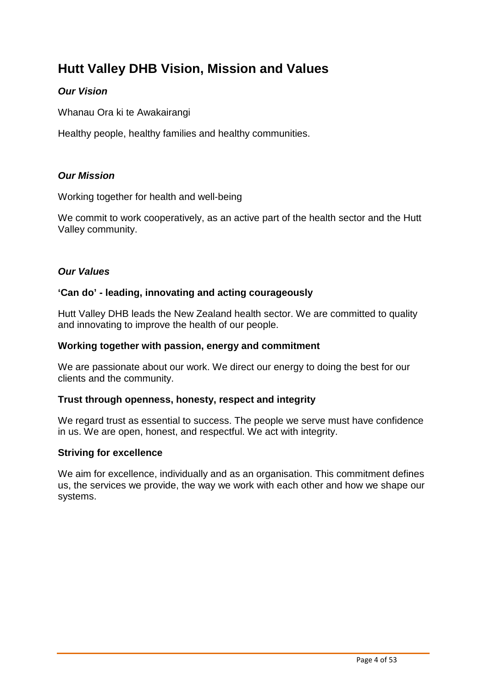# **Hutt Valley DHB Vision, Mission and Values**

#### **Our Vision**

Whanau Ora ki te Awakairangi

Healthy people, healthy families and healthy communities.

#### **Our Mission**

Working together for health and well-being

We commit to work cooperatively, as an active part of the health sector and the Hutt Valley community.

#### **Our Values**

#### **'Can do' - leading, innovating and acting courageously**

Hutt Valley DHB leads the New Zealand health sector. We are committed to quality and innovating to improve the health of our people.

#### **Working together with passion, energy and commitment**

We are passionate about our work. We direct our energy to doing the best for our clients and the community.

#### **Trust through openness, honesty, respect and integrity**

We regard trust as essential to success. The people we serve must have confidence in us. We are open, honest, and respectful. We act with integrity.

#### **Striving for excellence**

We aim for excellence, individually and as an organisation. This commitment defines us, the services we provide, the way we work with each other and how we shape our systems.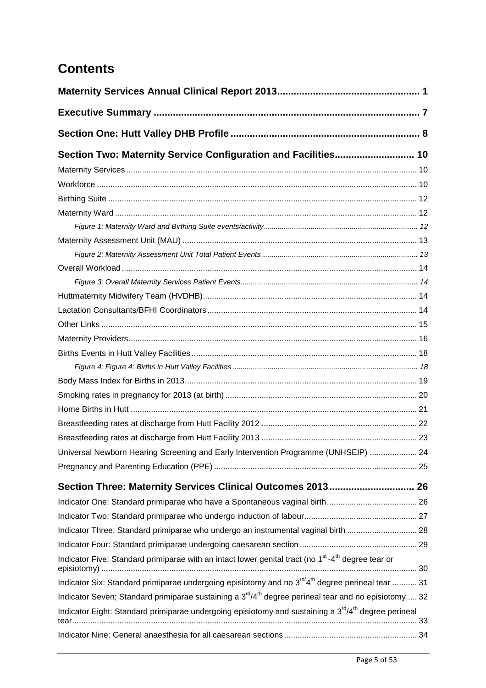# **Contents**

| Section Two: Maternity Service Configuration and Facilities 10                                                                        |  |
|---------------------------------------------------------------------------------------------------------------------------------------|--|
|                                                                                                                                       |  |
|                                                                                                                                       |  |
|                                                                                                                                       |  |
|                                                                                                                                       |  |
|                                                                                                                                       |  |
|                                                                                                                                       |  |
|                                                                                                                                       |  |
|                                                                                                                                       |  |
|                                                                                                                                       |  |
|                                                                                                                                       |  |
|                                                                                                                                       |  |
|                                                                                                                                       |  |
|                                                                                                                                       |  |
|                                                                                                                                       |  |
|                                                                                                                                       |  |
|                                                                                                                                       |  |
|                                                                                                                                       |  |
|                                                                                                                                       |  |
|                                                                                                                                       |  |
|                                                                                                                                       |  |
| Universal Newborn Hearing Screening and Early Intervention Programme (UNHSEIP)  24                                                    |  |
|                                                                                                                                       |  |
| Section Three: Maternity Services Clinical Outcomes 2013 26                                                                           |  |
|                                                                                                                                       |  |
|                                                                                                                                       |  |
| Indicator Three: Standard primiparae who undergo an instrumental vaginal birth  28                                                    |  |
|                                                                                                                                       |  |
| Indicator Five: Standard primiparae with an intact lower genital tract (no 1 <sup>st</sup> -4 <sup>th</sup> degree tear or            |  |
| Indicator Six: Standard primiparae undergoing episiotomy and no 3 <sup>rd/4th</sup> degree perineal tear  31                          |  |
| Indicator Seven; Standard primiparae sustaining a 3 <sup>rd</sup> /4 <sup>th</sup> degree perineal tear and no episiotomy 32          |  |
| Indicator Eight: Standard primiparae undergoing episiotomy and sustaining a 3 <sup>rd</sup> /4 <sup>th</sup> degree perineal<br>tear. |  |
|                                                                                                                                       |  |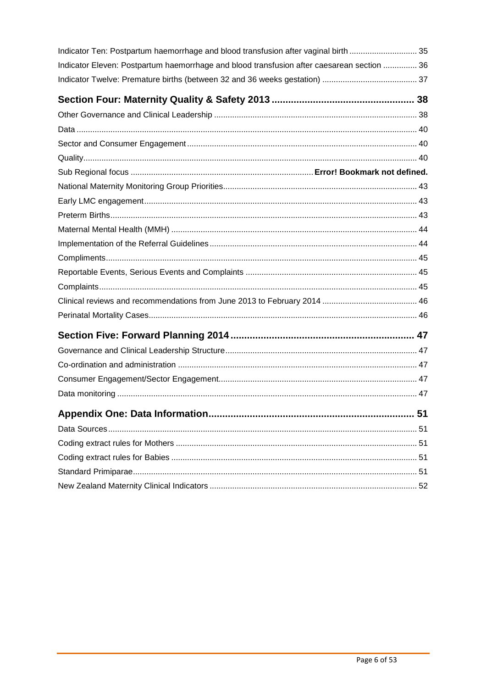| Indicator Ten: Postpartum haemorrhage and blood transfusion after vaginal birth 35         |  |
|--------------------------------------------------------------------------------------------|--|
| Indicator Eleven: Postpartum haemorrhage and blood transfusion after caesarean section  36 |  |
|                                                                                            |  |
|                                                                                            |  |
|                                                                                            |  |
|                                                                                            |  |
|                                                                                            |  |
|                                                                                            |  |
|                                                                                            |  |
|                                                                                            |  |
|                                                                                            |  |
|                                                                                            |  |
|                                                                                            |  |
|                                                                                            |  |
|                                                                                            |  |
|                                                                                            |  |
|                                                                                            |  |
|                                                                                            |  |
|                                                                                            |  |
|                                                                                            |  |
|                                                                                            |  |
|                                                                                            |  |
|                                                                                            |  |
|                                                                                            |  |
|                                                                                            |  |
|                                                                                            |  |
|                                                                                            |  |
|                                                                                            |  |
|                                                                                            |  |
|                                                                                            |  |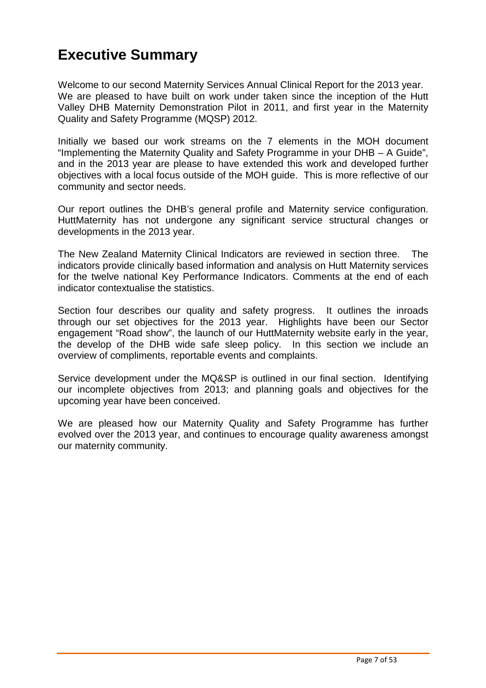# **Executive Summary**

Welcome to our second Maternity Services Annual Clinical Report for the 2013 year. We are pleased to have built on work under taken since the inception of the Hutt Valley DHB Maternity Demonstration Pilot in 2011, and first year in the Maternity Quality and Safety Programme (MQSP) 2012.

Initially we based our work streams on the 7 elements in the MOH document "Implementing the Maternity Quality and Safety Programme in your DHB – A Guide", and in the 2013 year are please to have extended this work and developed further objectives with a local focus outside of the MOH guide. This is more reflective of our community and sector needs.

Our report outlines the DHB's general profile and Maternity service configuration. HuttMaternity has not undergone any significant service structural changes or developments in the 2013 year.

The New Zealand Maternity Clinical Indicators are reviewed in section three. The indicators provide clinically based information and analysis on Hutt Maternity services for the twelve national Key Performance Indicators. Comments at the end of each indicator contextualise the statistics.

Section four describes our quality and safety progress. It outlines the inroads through our set objectives for the 2013 year. Highlights have been our Sector engagement "Road show", the launch of our HuttMaternity website early in the year, the develop of the DHB wide safe sleep policy. In this section we include an overview of compliments, reportable events and complaints.

Service development under the MQ&SP is outlined in our final section. Identifying our incomplete objectives from 2013; and planning goals and objectives for the upcoming year have been conceived.

We are pleased how our Maternity Quality and Safety Programme has further evolved over the 2013 year, and continues to encourage quality awareness amongst our maternity community.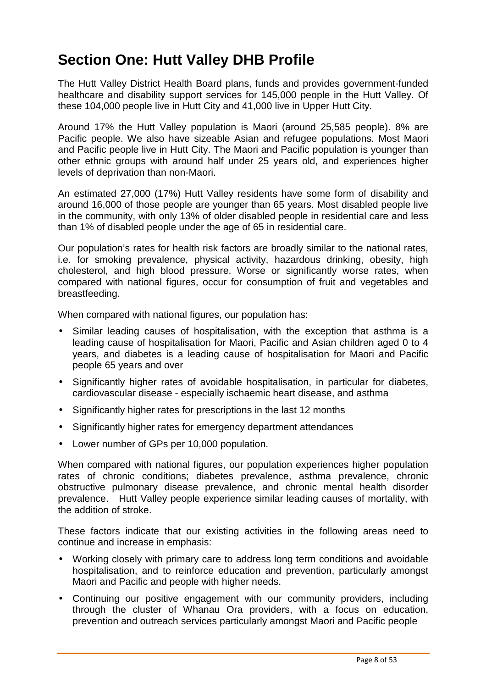# **Section One: Hutt Valley DHB Profile**

The Hutt Valley District Health Board plans, funds and provides government-funded healthcare and disability support services for 145,000 people in the Hutt Valley. Of these 104,000 people live in Hutt City and 41,000 live in Upper Hutt City.

Around 17% the Hutt Valley population is Maori (around 25,585 people). 8% are Pacific people. We also have sizeable Asian and refugee populations. Most Maori and Pacific people live in Hutt City. The Maori and Pacific population is younger than other ethnic groups with around half under 25 years old, and experiences higher levels of deprivation than non-Maori.

An estimated 27,000 (17%) Hutt Valley residents have some form of disability and around 16,000 of those people are younger than 65 years. Most disabled people live in the community, with only 13% of older disabled people in residential care and less than 1% of disabled people under the age of 65 in residential care.

Our population's rates for health risk factors are broadly similar to the national rates, i.e. for smoking prevalence, physical activity, hazardous drinking, obesity, high cholesterol, and high blood pressure. Worse or significantly worse rates, when compared with national figures, occur for consumption of fruit and vegetables and breastfeeding.

When compared with national figures, our population has:

- Similar leading causes of hospitalisation, with the exception that asthma is a leading cause of hospitalisation for Maori, Pacific and Asian children aged 0 to 4 years, and diabetes is a leading cause of hospitalisation for Maori and Pacific people 65 years and over
- Significantly higher rates of avoidable hospitalisation, in particular for diabetes, cardiovascular disease - especially ischaemic heart disease, and asthma
- Significantly higher rates for prescriptions in the last 12 months
- Significantly higher rates for emergency department attendances
- Lower number of GPs per 10,000 population.

When compared with national figures, our population experiences higher population rates of chronic conditions; diabetes prevalence, asthma prevalence, chronic obstructive pulmonary disease prevalence, and chronic mental health disorder prevalence. Hutt Valley people experience similar leading causes of mortality, with the addition of stroke.

These factors indicate that our existing activities in the following areas need to continue and increase in emphasis:

- Working closely with primary care to address long term conditions and avoidable hospitalisation, and to reinforce education and prevention, particularly amongst Maori and Pacific and people with higher needs.
- Continuing our positive engagement with our community providers, including through the cluster of Whanau Ora providers, with a focus on education, prevention and outreach services particularly amongst Maori and Pacific people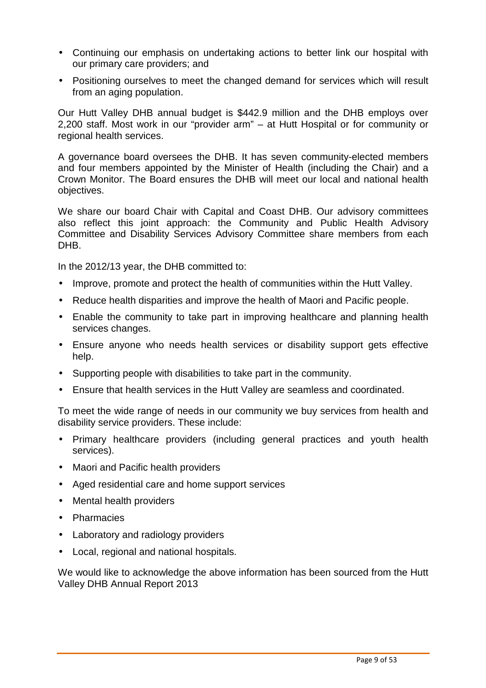- Continuing our emphasis on undertaking actions to better link our hospital with our primary care providers; and
- Positioning ourselves to meet the changed demand for services which will result from an aging population.

Our Hutt Valley DHB annual budget is \$442.9 million and the DHB employs over 2,200 staff. Most work in our "provider arm" – at Hutt Hospital or for community or regional health services.

A governance board oversees the DHB. It has seven community-elected members and four members appointed by the Minister of Health (including the Chair) and a Crown Monitor. The Board ensures the DHB will meet our local and national health objectives.

We share our board Chair with Capital and Coast DHB. Our advisory committees also reflect this joint approach: the Community and Public Health Advisory Committee and Disability Services Advisory Committee share members from each DHB.

In the 2012/13 year, the DHB committed to:

- Improve, promote and protect the health of communities within the Hutt Valley.
- Reduce health disparities and improve the health of Maori and Pacific people.
- Enable the community to take part in improving healthcare and planning health services changes.
- Ensure anyone who needs health services or disability support gets effective help.
- Supporting people with disabilities to take part in the community.
- Ensure that health services in the Hutt Valley are seamless and coordinated.

To meet the wide range of needs in our community we buy services from health and disability service providers. These include:

- Primary healthcare providers (including general practices and youth health services).
- Maori and Pacific health providers
- Aged residential care and home support services
- Mental health providers
- Pharmacies
- Laboratory and radiology providers
- Local, regional and national hospitals.

We would like to acknowledge the above information has been sourced from the Hutt Valley DHB Annual Report 2013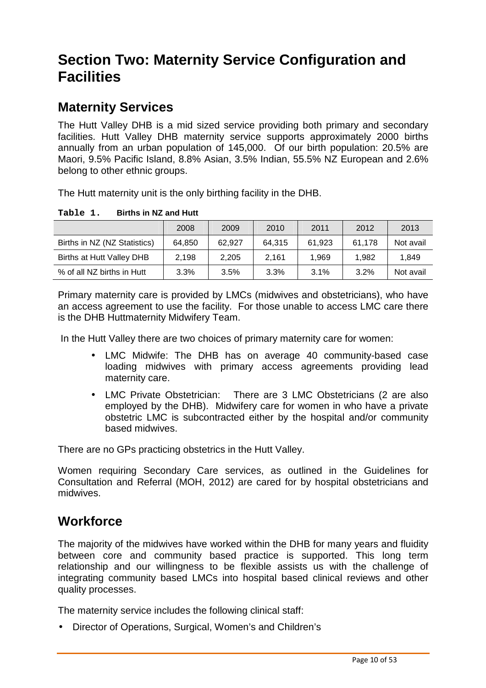# **Section Two: Maternity Service Configuration and Facilities**

# **Maternity Services**

The Hutt Valley DHB is a mid sized service providing both primary and secondary facilities. Hutt Valley DHB maternity service supports approximately 2000 births annually from an urban population of 145,000. Of our birth population: 20.5% are Maori, 9.5% Pacific Island, 8.8% Asian, 3.5% Indian, 55.5% NZ European and 2.6% belong to other ethnic groups.

The Hutt maternity unit is the only birthing facility in the DHB.

| Table 1. | <b>Births in NZ and Hutt</b> |
|----------|------------------------------|
|          |                              |

|                              | 2008   | 2009   | 2010    | 2011   | 2012   | 2013      |
|------------------------------|--------|--------|---------|--------|--------|-----------|
| Births in NZ (NZ Statistics) | 64.850 | 62.927 | 64.315  | 61.923 | 61.178 | Not avail |
| Births at Hutt Valley DHB    | 2.198  | 2.205  | 2.161   | 1.969  | 1.982  | 1.849     |
| % of all NZ births in Hutt   | 3.3%   | 3.5%   | $3.3\%$ | 3.1%   | 3.2%   | Not avail |

Primary maternity care is provided by LMCs (midwives and obstetricians), who have an access agreement to use the facility. For those unable to access LMC care there is the DHB Huttmaternity Midwifery Team.

In the Hutt Valley there are two choices of primary maternity care for women:

- LMC Midwife: The DHB has on average 40 community-based case loading midwives with primary access agreements providing lead maternity care.
- LMC Private Obstetrician: There are 3 LMC Obstetricians (2 are also employed by the DHB). Midwifery care for women in who have a private obstetric LMC is subcontracted either by the hospital and/or community based midwives.

There are no GPs practicing obstetrics in the Hutt Valley.

Women requiring Secondary Care services, as outlined in the Guidelines for Consultation and Referral (MOH, 2012) are cared for by hospital obstetricians and midwives.

### **Workforce**

The majority of the midwives have worked within the DHB for many years and fluidity between core and community based practice is supported. This long term relationship and our willingness to be flexible assists us with the challenge of integrating community based LMCs into hospital based clinical reviews and other quality processes.

The maternity service includes the following clinical staff:

• Director of Operations, Surgical, Women's and Children's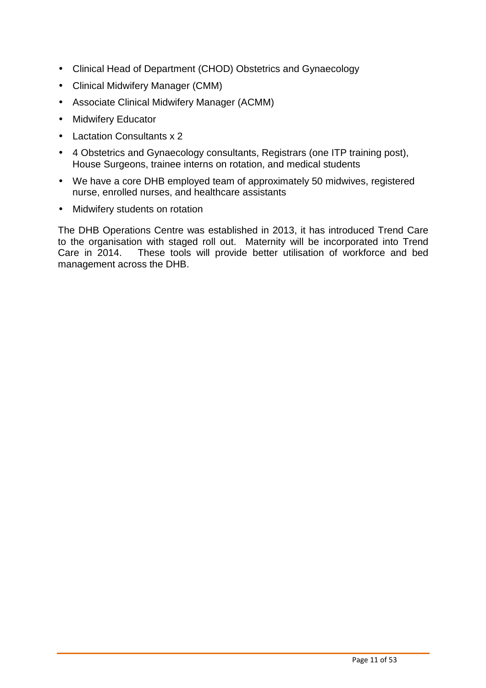- Clinical Head of Department (CHOD) Obstetrics and Gynaecology
- Clinical Midwifery Manager (CMM)
- Associate Clinical Midwifery Manager (ACMM)
- Midwifery Educator
- Lactation Consultants x 2
- 4 Obstetrics and Gynaecology consultants, Registrars (one ITP training post), House Surgeons, trainee interns on rotation, and medical students
- We have a core DHB employed team of approximately 50 midwives, registered nurse, enrolled nurses, and healthcare assistants
- Midwifery students on rotation

The DHB Operations Centre was established in 2013, it has introduced Trend Care to the organisation with staged roll out. Maternity will be incorporated into Trend Care in 2014. These tools will provide better utilisation of workforce and bed management across the DHB.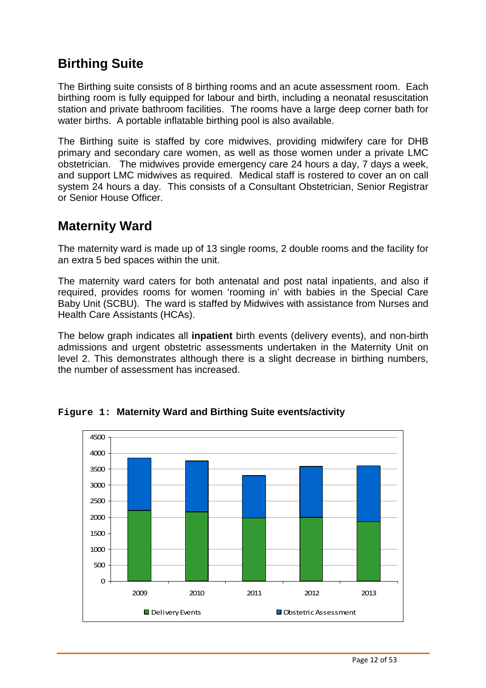# **Birthing Suite**

The Birthing suite consists of 8 birthing rooms and an acute assessment room. Each birthing room is fully equipped for labour and birth, including a neonatal resuscitation station and private bathroom facilities. The rooms have a large deep corner bath for water births. A portable inflatable birthing pool is also available.

The Birthing suite is staffed by core midwives, providing midwifery care for DHB primary and secondary care women, as well as those women under a private LMC obstetrician. The midwives provide emergency care 24 hours a day, 7 days a week, and support LMC midwives as required. Medical staff is rostered to cover an on call system 24 hours a day. This consists of a Consultant Obstetrician, Senior Registrar or Senior House Officer.

### **Maternity Ward**

The maternity ward is made up of 13 single rooms, 2 double rooms and the facility for an extra 5 bed spaces within the unit.

The maternity ward caters for both antenatal and post natal inpatients, and also if required, provides rooms for women 'rooming in' with babies in the Special Care Baby Unit (SCBU). The ward is staffed by Midwives with assistance from Nurses and Health Care Assistants (HCAs).

The below graph indicates all **inpatient** birth events (delivery events), and non-birth admissions and urgent obstetric assessments undertaken in the Maternity Unit on level 2. This demonstrates although there is a slight decrease in birthing numbers, the number of assessment has increased.



**Figure 1: Maternity Ward and Birthing Suite events/activity**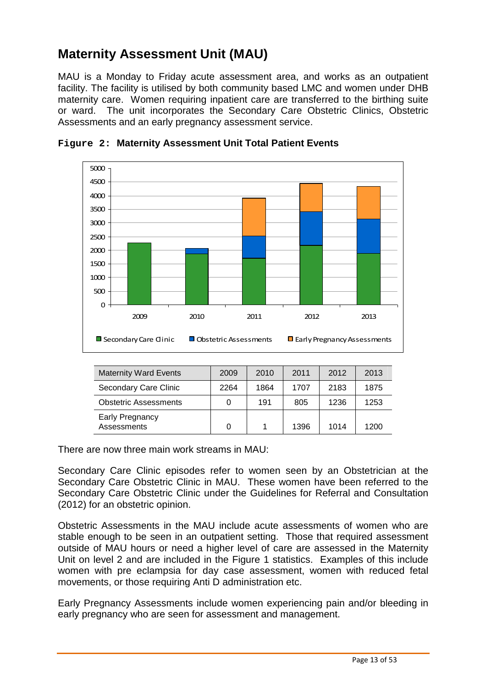# **Maternity Assessment Unit (MAU)**

MAU is a Monday to Friday acute assessment area, and works as an outpatient facility. The facility is utilised by both community based LMC and women under DHB maternity care. Women requiring inpatient care are transferred to the birthing suite or ward. The unit incorporates the Secondary Care Obstetric Clinics, Obstetric Assessments and an early pregnancy assessment service.



|  |  |  |  |  |  | Figure 2: Maternity Assessment Unit Total Patient Events |
|--|--|--|--|--|--|----------------------------------------------------------|
|--|--|--|--|--|--|----------------------------------------------------------|

| <b>Maternity Ward Events</b>          | 2009 | 2010 | 2011 | 2012 | 2013 |
|---------------------------------------|------|------|------|------|------|
| Secondary Care Clinic                 | 2264 | 1864 | 1707 | 2183 | 1875 |
| <b>Obstetric Assessments</b>          |      | 191  | 805  | 1236 | 1253 |
| <b>Early Pregnancy</b><br>Assessments | 0    |      | 1396 | 1014 | 1200 |

There are now three main work streams in MAU:

Secondary Care Clinic episodes refer to women seen by an Obstetrician at the Secondary Care Obstetric Clinic in MAU. These women have been referred to the Secondary Care Obstetric Clinic under the Guidelines for Referral and Consultation (2012) for an obstetric opinion.

Obstetric Assessments in the MAU include acute assessments of women who are stable enough to be seen in an outpatient setting. Those that required assessment outside of MAU hours or need a higher level of care are assessed in the Maternity Unit on level 2 and are included in the Figure 1 statistics. Examples of this include women with pre eclampsia for day case assessment, women with reduced fetal movements, or those requiring Anti D administration etc.

Early Pregnancy Assessments include women experiencing pain and/or bleeding in early pregnancy who are seen for assessment and management.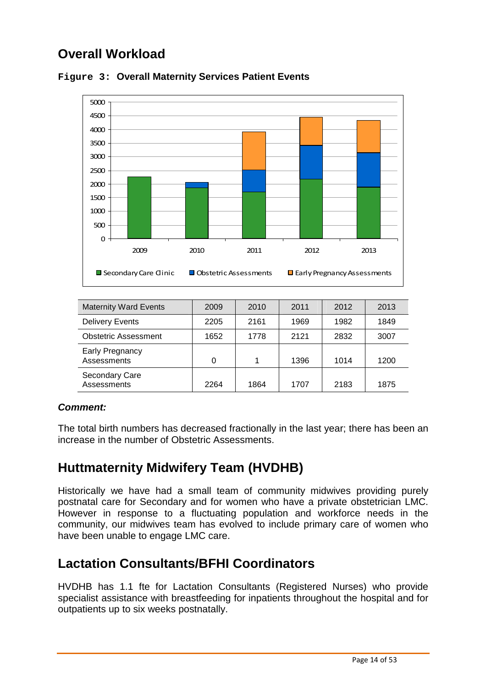# **Overall Workload**



#### **Figure 3: Overall Maternity Services Patient Events**

| <b>Maternity Ward Events</b>          | 2009 | 2010 | 2011 | 2012 | 2013 |
|---------------------------------------|------|------|------|------|------|
| <b>Delivery Events</b>                | 2205 | 2161 | 1969 | 1982 | 1849 |
| <b>Obstetric Assessment</b>           | 1652 | 1778 | 2121 | 2832 | 3007 |
| <b>Early Pregnancy</b><br>Assessments | 0    |      | 1396 | 1014 | 1200 |
| Secondary Care<br>Assessments         | 2264 | 1864 | 1707 | 2183 | 1875 |

#### **Comment:**

The total birth numbers has decreased fractionally in the last year; there has been an increase in the number of Obstetric Assessments.

### **Huttmaternity Midwifery Team (HVDHB)**

Historically we have had a small team of community midwives providing purely postnatal care for Secondary and for women who have a private obstetrician LMC. However in response to a fluctuating population and workforce needs in the community, our midwives team has evolved to include primary care of women who have been unable to engage LMC care.

### **Lactation Consultants/BFHI Coordinators**

HVDHB has 1.1 fte for Lactation Consultants (Registered Nurses) who provide specialist assistance with breastfeeding for inpatients throughout the hospital and for outpatients up to six weeks postnatally.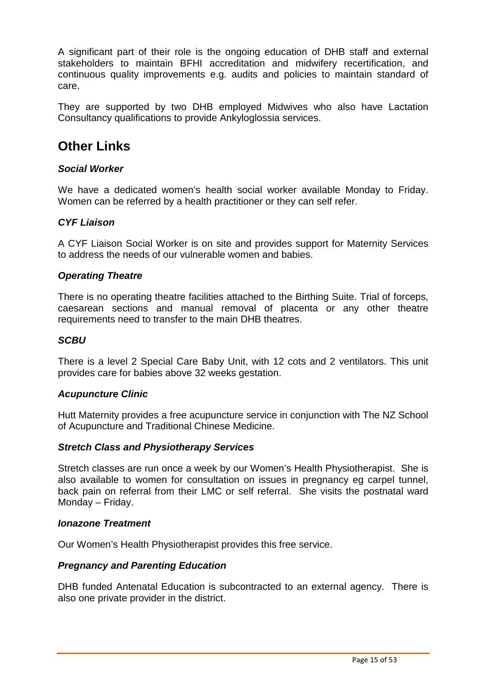A significant part of their role is the ongoing education of DHB staff and external stakeholders to maintain BFHI accreditation and midwifery recertification, and continuous quality improvements e.g. audits and policies to maintain standard of care.

They are supported by two DHB employed Midwives who also have Lactation Consultancy qualifications to provide Ankyloglossia services.

### **Other Links**

#### **Social Worker**

We have a dedicated women's health social worker available Monday to Friday. Women can be referred by a health practitioner or they can self refer.

#### **CYF Liaison**

A CYF Liaison Social Worker is on site and provides support for Maternity Services to address the needs of our vulnerable women and babies.

#### **Operating Theatre**

There is no operating theatre facilities attached to the Birthing Suite. Trial of forceps, caesarean sections and manual removal of placenta or any other theatre requirements need to transfer to the main DHB theatres.

#### **SCBU**

There is a level 2 Special Care Baby Unit, with 12 cots and 2 ventilators. This unit provides care for babies above 32 weeks gestation.

#### **Acupuncture Clinic**

Hutt Maternity provides a free acupuncture service in conjunction with The NZ School of Acupuncture and Traditional Chinese Medicine.

#### **Stretch Class and Physiotherapy Services**

Stretch classes are run once a week by our Women's Health Physiotherapist. She is also available to women for consultation on issues in pregnancy eg carpel tunnel, back pain on referral from their LMC or self referral. She visits the postnatal ward Monday – Friday.

#### **Ionazone Treatment**

Our Women's Health Physiotherapist provides this free service.

#### **Pregnancy and Parenting Education**

DHB funded Antenatal Education is subcontracted to an external agency. There is also one private provider in the district.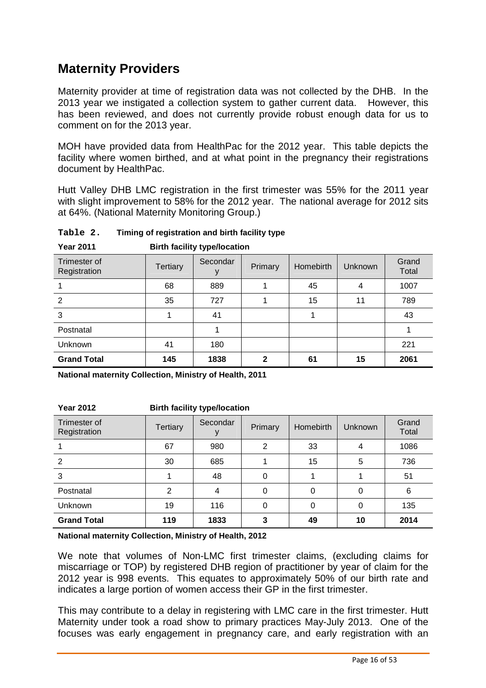# **Maternity Providers**

Maternity provider at time of registration data was not collected by the DHB. In the 2013 year we instigated a collection system to gather current data. However, this has been reviewed, and does not currently provide robust enough data for us to comment on for the 2013 year.

MOH have provided data from HealthPac for the 2012 year. This table depicts the facility where women birthed, and at what point in the pregnancy their registrations document by HealthPac.

Hutt Valley DHB LMC registration in the first trimester was 55% for the 2011 year with slight improvement to 58% for the 2012 year. The national average for 2012 sits at 64%. (National Maternity Monitoring Group.)

| <b>Year 2011</b>             | <b>Birth facility type/location</b> |          |         |           |                |                |  |  |  |  |  |
|------------------------------|-------------------------------------|----------|---------|-----------|----------------|----------------|--|--|--|--|--|
| Trimester of<br>Registration | <b>Tertiary</b>                     | Secondar | Primary | Homebirth | <b>Unknown</b> | Grand<br>Total |  |  |  |  |  |
|                              | 68                                  | 889      |         | 45        | 4              | 1007           |  |  |  |  |  |
| 2                            | 35                                  | 727      |         | 15        | 11             | 789            |  |  |  |  |  |
| 3                            |                                     | 41       |         |           |                | 43             |  |  |  |  |  |
| Postnatal                    |                                     |          |         |           |                |                |  |  |  |  |  |
| Unknown                      | 41                                  | 180      |         |           |                | 221            |  |  |  |  |  |
| <b>Grand Total</b>           | 145                                 | 1838     | 2       | 61        | 15             | 2061           |  |  |  |  |  |

**Table 2. Timing of registration and birth facility type** 

**National maternity Collection, Ministry of Health, 2011** 

| TE CILLE                     | <b>DITITI TAGHILY LYDE/IOGALION</b> |          |                |                      |    |                |  |  |  |  |
|------------------------------|-------------------------------------|----------|----------------|----------------------|----|----------------|--|--|--|--|
| Trimester of<br>Registration | <b>Tertiary</b>                     | Secondar | Primary        | Homebirth<br>Unknown |    | Grand<br>Total |  |  |  |  |
|                              | 67                                  | 980      | $\overline{2}$ | 33                   | 4  | 1086           |  |  |  |  |
| $\mathcal{P}$                | 30                                  | 685      |                | 15                   | 5  | 736            |  |  |  |  |
| 3                            |                                     | 48       | 0              |                      |    | 51             |  |  |  |  |
| Postnatal                    | $\overline{2}$                      | 4        | 0              | $\Omega$             | 0  | 6              |  |  |  |  |
| Unknown                      | 19                                  | 116      | 0              | $\Omega$             | 0  | 135            |  |  |  |  |
| <b>Grand Total</b>           | 119                                 | 1833     | 3              | 49                   | 10 | 2014           |  |  |  |  |
|                              |                                     |          |                |                      |    |                |  |  |  |  |

**Year 2012 Birth facility type/location** 

**National maternity Collection, Ministry of Health, 2012** 

We note that volumes of Non-LMC first trimester claims, (excluding claims for miscarriage or TOP) by registered DHB region of practitioner by year of claim for the 2012 year is 998 events. This equates to approximately 50% of our birth rate and indicates a large portion of women access their GP in the first trimester.

This may contribute to a delay in registering with LMC care in the first trimester. Hutt Maternity under took a road show to primary practices May-July 2013. One of the focuses was early engagement in pregnancy care, and early registration with an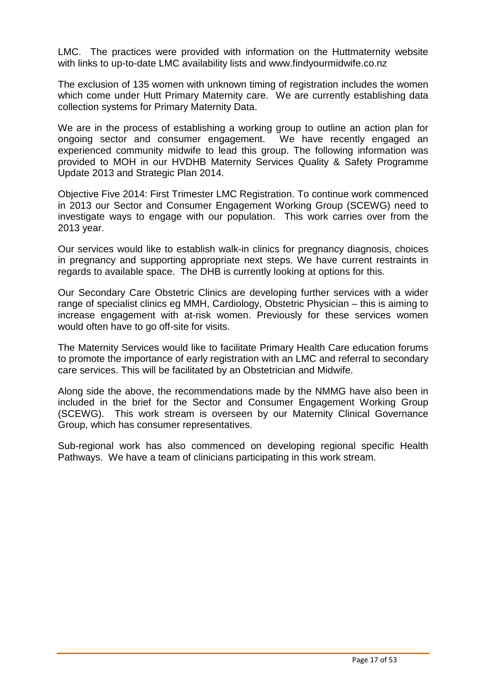LMC. The practices were provided with information on the Huttmaternity website with links to up-to-date LMC availability lists and www.findyourmidwife.co.nz

The exclusion of 135 women with unknown timing of registration includes the women which come under Hutt Primary Maternity care. We are currently establishing data collection systems for Primary Maternity Data.

We are in the process of establishing a working group to outline an action plan for ongoing sector and consumer engagement. We have recently engaged an experienced community midwife to lead this group. The following information was provided to MOH in our HVDHB Maternity Services Quality & Safety Programme Update 2013 and Strategic Plan 2014.

Objective Five 2014: First Trimester LMC Registration. To continue work commenced in 2013 our Sector and Consumer Engagement Working Group (SCEWG) need to investigate ways to engage with our population. This work carries over from the 2013 year.

Our services would like to establish walk-in clinics for pregnancy diagnosis, choices in pregnancy and supporting appropriate next steps. We have current restraints in regards to available space. The DHB is currently looking at options for this.

Our Secondary Care Obstetric Clinics are developing further services with a wider range of specialist clinics eg MMH, Cardiology, Obstetric Physician – this is aiming to increase engagement with at-risk women. Previously for these services women would often have to go off-site for visits.

The Maternity Services would like to facilitate Primary Health Care education forums to promote the importance of early registration with an LMC and referral to secondary care services. This will be facilitated by an Obstetrician and Midwife.

Along side the above, the recommendations made by the NMMG have also been in included in the brief for the Sector and Consumer Engagement Working Group (SCEWG). This work stream is overseen by our Maternity Clinical Governance Group, which has consumer representatives.

Sub-regional work has also commenced on developing regional specific Health Pathways. We have a team of clinicians participating in this work stream.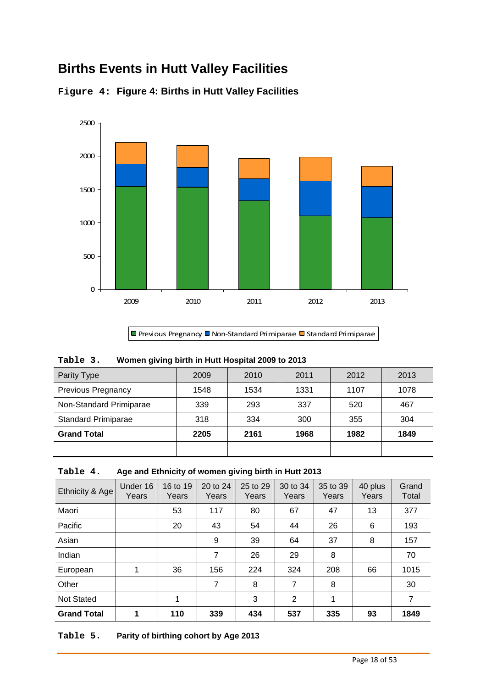# **Births Events in Hutt Valley Facilities**





Previous Pregnancy D Non-Standard Primiparae D Standard Primiparae

| Table 3. |  |  |  |  |  | Women giving birth in Hutt Hospital 2009 to 2013 |  |  |
|----------|--|--|--|--|--|--------------------------------------------------|--|--|
|----------|--|--|--|--|--|--------------------------------------------------|--|--|

| Parity Type                | 2009 | 2010 | 2011 | 2012 | 2013 |
|----------------------------|------|------|------|------|------|
| <b>Previous Pregnancy</b>  | 1548 | 1534 | 1331 | 1107 | 1078 |
| Non-Standard Primiparae    | 339  | 293  | 337  | 520  | 467  |
| <b>Standard Primiparae</b> | 318  | 334  | 300  | 355  | 304  |
| <b>Grand Total</b>         | 2205 | 2161 | 1968 | 1982 | 1849 |
|                            |      |      |      |      |      |

#### **Table 4. Age and Ethnicity of women giving birth in Hutt 2013**

| Ethnicity & Age    | Under 16<br>Years | 16 to 19<br>Years | 20 to 24<br>Years | 25 to 29<br>Years | 30 to 34<br>Years | 35 to 39<br>Years | 40 plus<br>Years | Grand<br>Total |
|--------------------|-------------------|-------------------|-------------------|-------------------|-------------------|-------------------|------------------|----------------|
| Maori              |                   | 53                | 117               | 80                | 67                | 47                | 13               | 377            |
| Pacific            |                   | 20                | 43                | 54                | 44                | 26                | 6                | 193            |
| Asian              |                   |                   | 9                 | 39                | 64                | 37                | 8                | 157            |
| Indian             |                   |                   | $\overline{7}$    | 26                | 29                | 8                 |                  | 70             |
| European           | 1                 | 36                | 156               | 224               | 324               | 208               | 66               | 1015           |
| Other              |                   |                   | $\overline{7}$    | 8                 | 7                 | 8                 |                  | 30             |
| <b>Not Stated</b>  |                   | 1                 |                   | 3                 | $\overline{2}$    | 1                 |                  | 7              |
| <b>Grand Total</b> | 4                 | 110               | 339               | 434               | 537               | 335               | 93               | 1849           |

#### **Table 5. Parity of birthing cohort by Age 2013**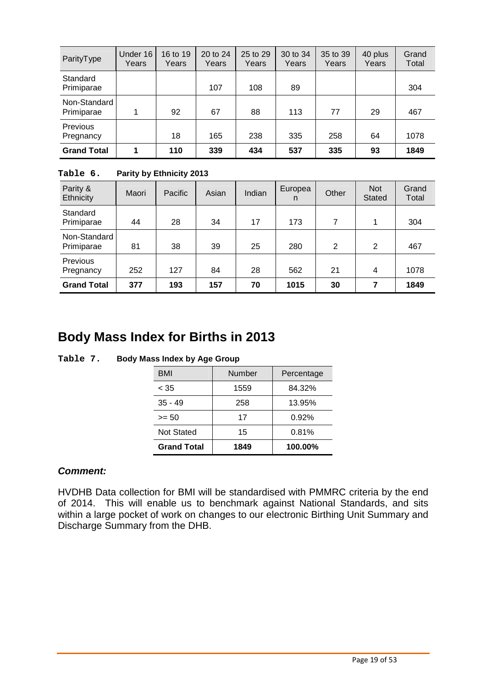| ParityType                   | Under 16<br>Years | 16 to 19<br>Years | 20 to 24<br>Years | 25 to 29<br>Years | 30 to 34<br>Years | 35 to 39<br>Years | 40 plus<br>Years | Grand<br>Total |
|------------------------------|-------------------|-------------------|-------------------|-------------------|-------------------|-------------------|------------------|----------------|
| Standard<br>Primiparae       |                   |                   | 107               | 108               | 89                |                   |                  | 304            |
| Non-Standard<br>Primiparae   | 1                 | 92                | 67                | 88                | 113               | 77                | 29               | 467            |
| <b>Previous</b><br>Pregnancy |                   | 18                | 165               | 238               | 335               | 258               | 64               | 1078           |
| <b>Grand Total</b>           | 1                 | 110               | 339               | 434               | 537               | 335               | 93               | 1849           |

**Table 6. Parity by Ethnicity 2013** 

| Parity &<br>Ethnicity        | Maori | Pacific | Asian | Indian | Europea<br>n | Other          | <b>Not</b><br><b>Stated</b> | Grand<br>Total |
|------------------------------|-------|---------|-------|--------|--------------|----------------|-----------------------------|----------------|
| Standard<br>Primiparae       | 44    | 28      | 34    | 17     | 173          | $\overline{7}$ | 1                           | 304            |
| Non-Standard<br>Primiparae   | 81    | 38      | 39    | 25     | 280          | 2              | 2                           | 467            |
| <b>Previous</b><br>Pregnancy | 252   | 127     | 84    | 28     | 562          | 21             | 4                           | 1078           |
| <b>Grand Total</b>           | 377   | 193     | 157   | 70     | 1015         | 30             | 7                           | 1849           |

### **Body Mass Index for Births in 2013**

| BMI                | <b>Number</b> | Percentage |
|--------------------|---------------|------------|
| < 35               | 1559          | 84.32%     |
| $35 - 49$          | 258           | 13.95%     |
| >= 50              | 17            | 0.92%      |
| <b>Not Stated</b>  | 15            | 0.81%      |
| <b>Grand Total</b> | 1849          | 100.00%    |

**Table 7. Body Mass Index by Age Group** 

#### **Comment:**

HVDHB Data collection for BMI will be standardised with PMMRC criteria by the end of 2014. This will enable us to benchmark against National Standards, and sits within a large pocket of work on changes to our electronic Birthing Unit Summary and Discharge Summary from the DHB.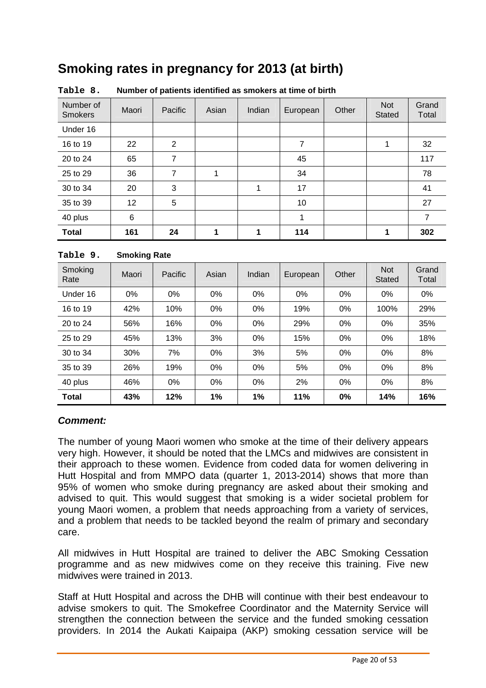# **Smoking rates in pregnancy for 2013 (at birth)**

| Number of<br><b>Smokers</b> | Maori | Pacific         | Asian | Indian | European | Other | <b>Not</b><br><b>Stated</b> | Grand<br>Total |
|-----------------------------|-------|-----------------|-------|--------|----------|-------|-----------------------------|----------------|
| Under 16                    |       |                 |       |        |          |       |                             |                |
| 16 to 19                    | 22    | 2               |       |        | 7        |       | 1                           | 32             |
| 20 to 24                    | 65    | 7               |       |        | 45       |       |                             | 117            |
| 25 to 29                    | 36    | 7               | 1     |        | 34       |       |                             | 78             |
| 30 to 34                    | 20    | 3               |       | 1      | 17       |       |                             | 41             |
| 35 to 39                    | 12    | $5\phantom{.0}$ |       |        | 10       |       |                             | 27             |
| 40 plus                     | $\,6$ |                 |       |        | 1        |       |                             | 7              |
| <b>Total</b>                | 161   | 24              | 1     | 1      | 114      |       | 1                           | 302            |

#### **Table 9. Smoking Rate**

| Smoking<br>Rate | Maori | Pacific | Asian | Indian | European | Other | <b>Not</b><br>Stated | Grand<br>Total |
|-----------------|-------|---------|-------|--------|----------|-------|----------------------|----------------|
| Under 16        | $0\%$ | $0\%$   | 0%    | 0%     | $0\%$    | 0%    | $0\%$                | 0%             |
| 16 to 19        | 42%   | 10%     | 0%    | $0\%$  | 19%      | 0%    | 100%                 | 29%            |
| 20 to 24        | 56%   | 16%     | $0\%$ | $0\%$  | 29%      | $0\%$ | $0\%$                | 35%            |
| 25 to 29        | 45%   | 13%     | 3%    | $0\%$  | 15%      | 0%    | $0\%$                | 18%            |
| 30 to 34        | 30%   | 7%      | 0%    | 3%     | 5%       | 0%    | $0\%$                | 8%             |
| 35 to 39        | 26%   | 19%     | $0\%$ | $0\%$  | 5%       | 0%    | $0\%$                | 8%             |
| 40 plus         | 46%   | $0\%$   | $0\%$ | $0\%$  | 2%       | $0\%$ | $0\%$                | 8%             |
| <b>Total</b>    | 43%   | 12%     | 1%    | 1%     | 11%      | 0%    | 14%                  | 16%            |

#### **Comment:**

The number of young Maori women who smoke at the time of their delivery appears very high. However, it should be noted that the LMCs and midwives are consistent in their approach to these women. Evidence from coded data for women delivering in Hutt Hospital and from MMPO data (quarter 1, 2013-2014) shows that more than 95% of women who smoke during pregnancy are asked about their smoking and advised to quit. This would suggest that smoking is a wider societal problem for young Maori women, a problem that needs approaching from a variety of services, and a problem that needs to be tackled beyond the realm of primary and secondary care.

All midwives in Hutt Hospital are trained to deliver the ABC Smoking Cessation programme and as new midwives come on they receive this training. Five new midwives were trained in 2013.

Staff at Hutt Hospital and across the DHB will continue with their best endeavour to advise smokers to quit. The Smokefree Coordinator and the Maternity Service will strengthen the connection between the service and the funded smoking cessation providers. In 2014 the Aukati Kaipaipa (AKP) smoking cessation service will be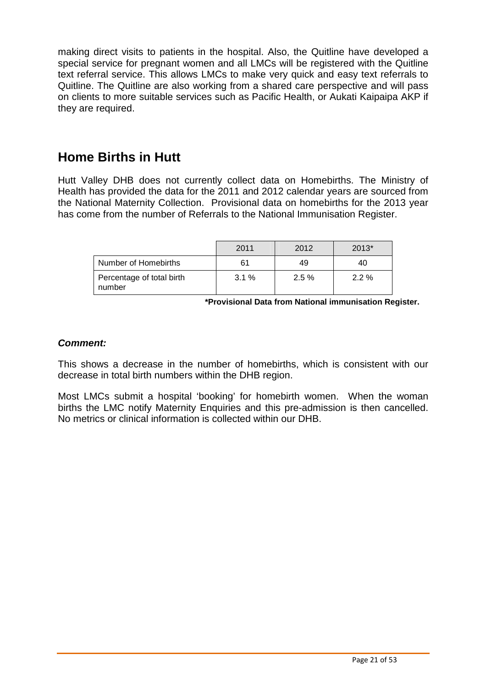making direct visits to patients in the hospital. Also, the Quitline have developed a special service for pregnant women and all LMCs will be registered with the Quitline text referral service. This allows LMCs to make very quick and easy text referrals to Quitline. The Quitline are also working from a shared care perspective and will pass on clients to more suitable services such as Pacific Health, or Aukati Kaipaipa AKP if they are required.

# **Home Births in Hutt**

Hutt Valley DHB does not currently collect data on Homebirths. The Ministry of Health has provided the data for the 2011 and 2012 calendar years are sourced from the National Maternity Collection. Provisional data on homebirths for the 2013 year has come from the number of Referrals to the National Immunisation Register.

|                                     | 2011 | 2012 | $2013*$ |
|-------------------------------------|------|------|---------|
| Number of Homebirths                | 61   | 49   | 40      |
| Percentage of total birth<br>number | 3.1% | 2.5% | $2.2\%$ |

**\*Provisional Data from National immunisation Register.** 

#### **Comment:**

This shows a decrease in the number of homebirths, which is consistent with our decrease in total birth numbers within the DHB region.

Most LMCs submit a hospital 'booking' for homebirth women. When the woman births the LMC notify Maternity Enquiries and this pre-admission is then cancelled. No metrics or clinical information is collected within our DHB.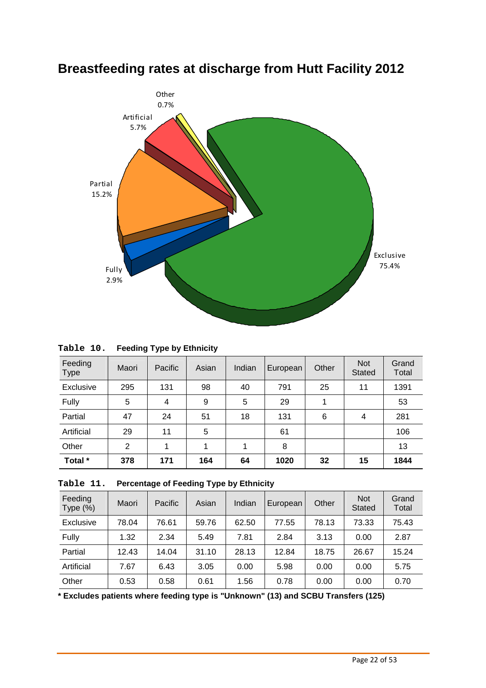

# **Breastfeeding rates at discharge from Hutt Facility 2012**

| Table 10. |  | <b>Feeding Type by Ethnicity</b> |
|-----------|--|----------------------------------|
|-----------|--|----------------------------------|

| Feeding<br><b>Type</b> | Maori | Pacific | Asian | Indian | European | Other | <b>Not</b><br><b>Stated</b> | Grand<br>Total |
|------------------------|-------|---------|-------|--------|----------|-------|-----------------------------|----------------|
| Exclusive              | 295   | 131     | 98    | 40     | 791      | 25    | 11                          | 1391           |
| Fully                  | 5     | 4       | 9     | 5      | 29       | 1     |                             | 53             |
| Partial                | 47    | 24      | 51    | 18     | 131      | 6     | 4                           | 281            |
| Artificial             | 29    | 11      | 5     |        | 61       |       |                             | 106            |
| Other                  | 2     | 1       | 1     | 1      | 8        |       |                             | 13             |
| Total *                | 378   | 171     | 164   | 64     | 1020     | 32    | 15                          | 1844           |

| Table 11. |  | <b>Percentage of Feeding Type by Ethnicity</b> |
|-----------|--|------------------------------------------------|
|-----------|--|------------------------------------------------|

| Feeding<br>Type $(\%)$ | Maori | Pacific | Asian | Indian | European | Other | <b>Not</b><br><b>Stated</b> | Grand<br>Total |
|------------------------|-------|---------|-------|--------|----------|-------|-----------------------------|----------------|
| Exclusive              | 78.04 | 76.61   | 59.76 | 62.50  | 77.55    | 78.13 | 73.33                       | 75.43          |
| Fully                  | 1.32  | 2.34    | 5.49  | 7.81   | 2.84     | 3.13  | 0.00                        | 2.87           |
| Partial                | 12.43 | 14.04   | 31.10 | 28.13  | 12.84    | 18.75 | 26.67                       | 15.24          |
| Artificial             | 7.67  | 6.43    | 3.05  | 0.00   | 5.98     | 0.00  | 0.00                        | 5.75           |
| Other                  | 0.53  | 0.58    | 0.61  | 1.56   | 0.78     | 0.00  | 0.00                        | 0.70           |

**\* Excludes patients where feeding type is "Unknown" (13) and SCBU Transfers (125)**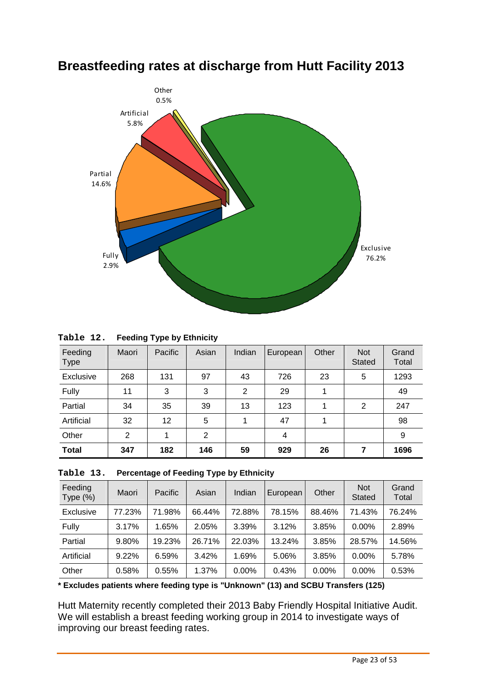

### **Breastfeeding rates at discharge from Hutt Facility 2013**

| Table 12. | <b>Feeding Type by Ethnicity</b> |
|-----------|----------------------------------|
|           |                                  |

| Feeding<br><b>Type</b> | Maori | Pacific | Asian | Indian         | European | Other | <b>Not</b><br><b>Stated</b> | Grand<br>Total |
|------------------------|-------|---------|-------|----------------|----------|-------|-----------------------------|----------------|
| Exclusive              | 268   | 131     | 97    | 43             | 726      | 23    | 5                           | 1293           |
| Fully                  | 11    | 3       | 3     | $\overline{2}$ | 29       | 4     |                             | 49             |
| Partial                | 34    | 35      | 39    | 13             | 123      | 1     | 2                           | 247            |
| Artificial             | 32    | 12      | 5     |                | 47       |       |                             | 98             |
| Other                  | 2     | 1       | 2     |                | 4        |       |                             | 9              |
| <b>Total</b>           | 347   | 182     | 146   | 59             | 929      | 26    | 7                           | 1696           |

| Table 13. | <b>Percentage of Feeding Type by Ethnicity</b> |
|-----------|------------------------------------------------|
|-----------|------------------------------------------------|

| Feeding<br>Type $(\%)$ | Maori  | Pacific | Asian  | Indian | European | Other  | <b>Not</b><br><b>Stated</b> | Grand<br>Total |
|------------------------|--------|---------|--------|--------|----------|--------|-----------------------------|----------------|
| Exclusive              | 77.23% | 71.98%  | 66.44% | 72.88% | 78.15%   | 88.46% | 71.43%                      | 76.24%         |
| Fully                  | 3.17%  | 1.65%   | 2.05%  | 3.39%  | 3.12%    | 3.85%  | $0.00\%$                    | 2.89%          |
| Partial                | 9.80%  | 19.23%  | 26.71% | 22.03% | 13.24%   | 3.85%  | 28.57%                      | 14.56%         |
| Artificial             | 9.22%  | 6.59%   | 3.42%  | 1.69%  | 5.06%    | 3.85%  | $0.00\%$                    | 5.78%          |
| Other                  | 0.58%  | 0.55%   | 1.37%  | 0.00%  | 0.43%    | 0.00%  | 0.00%                       | 0.53%          |

**\* Excludes patients where feeding type is "Unknown" (13) and SCBU Transfers (125)** 

Hutt Maternity recently completed their 2013 Baby Friendly Hospital Initiative Audit. We will establish a breast feeding working group in 2014 to investigate ways of improving our breast feeding rates.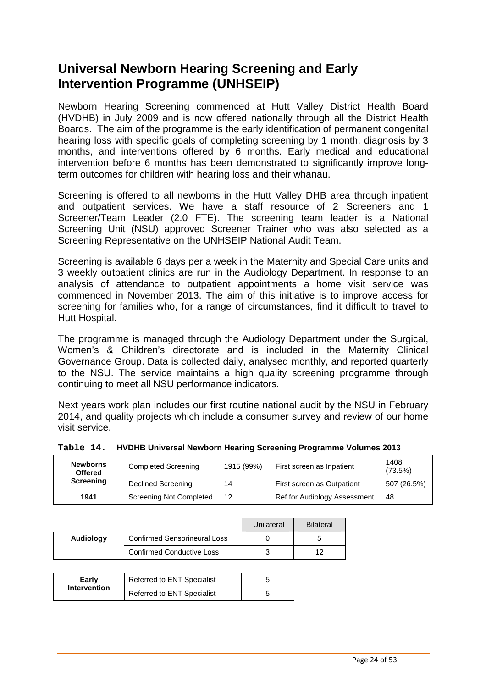# **Universal Newborn Hearing Screening and Early Intervention Programme (UNHSEIP)**

Newborn Hearing Screening commenced at Hutt Valley District Health Board (HVDHB) in July 2009 and is now offered nationally through all the District Health Boards. The aim of the programme is the early identification of permanent congenital hearing loss with specific goals of completing screening by 1 month, diagnosis by 3 months, and interventions offered by 6 months. Early medical and educational intervention before 6 months has been demonstrated to significantly improve longterm outcomes for children with hearing loss and their whanau.

Screening is offered to all newborns in the Hutt Valley DHB area through inpatient and outpatient services. We have a staff resource of 2 Screeners and 1 Screener/Team Leader (2.0 FTE). The screening team leader is a National Screening Unit (NSU) approved Screener Trainer who was also selected as a Screening Representative on the UNHSEIP National Audit Team.

Screening is available 6 days per a week in the Maternity and Special Care units and 3 weekly outpatient clinics are run in the Audiology Department. In response to an analysis of attendance to outpatient appointments a home visit service was commenced in November 2013. The aim of this initiative is to improve access for screening for families who, for a range of circumstances, find it difficult to travel to Hutt Hospital.

The programme is managed through the Audiology Department under the Surgical, Women's & Children's directorate and is included in the Maternity Clinical Governance Group. Data is collected daily, analysed monthly, and reported quarterly to the NSU. The service maintains a high quality screening programme through continuing to meet all NSU performance indicators.

Next years work plan includes our first routine national audit by the NSU in February 2014, and quality projects which include a consumer survey and review of our home visit service.

| <b>Newborns</b><br><b>Offered</b> | <b>Completed Screening</b> | 1915 (99%) | First screen as Inpatient  | 1408<br>(73.5%) |  |
|-----------------------------------|----------------------------|------------|----------------------------|-----------------|--|
| Screening                         | <b>Declined Screening</b>  | 14         | First screen as Outpatient | 507 (26.5%)     |  |

**1941** Screening Not Completed 12 Ref for Audiology Assessment 48

| Table 14. HVDHB Universal Newborn Hearing Screening Programme Volumes 2013 |
|----------------------------------------------------------------------------|
|                                                                            |

|           |                                     | Unilateral | <b>Bilateral</b> |
|-----------|-------------------------------------|------------|------------------|
| Audiology | <b>Confirmed Sensorineural Loss</b> |            | b                |
|           | <b>Confirmed Conductive Loss</b>    |            | 12               |

| Early               | <b>Referred to ENT Specialist</b> |  |
|---------------------|-----------------------------------|--|
| <b>Intervention</b> | Referred to ENT Specialist        |  |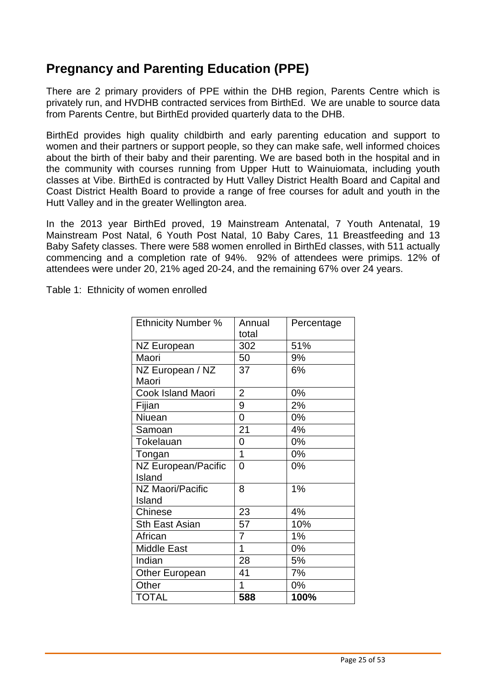# **Pregnancy and Parenting Education (PPE)**

There are 2 primary providers of PPE within the DHB region, Parents Centre which is privately run, and HVDHB contracted services from BirthEd. We are unable to source data from Parents Centre, but BirthEd provided quarterly data to the DHB.

BirthEd provides high quality childbirth and early parenting education and support to women and their partners or support people, so they can make safe, well informed choices about the birth of their baby and their parenting. We are based both in the hospital and in the community with courses running from Upper Hutt to Wainuiomata, including youth classes at Vibe. BirthEd is contracted by Hutt Valley District Health Board and Capital and Coast District Health Board to provide a range of free courses for adult and youth in the Hutt Valley and in the greater Wellington area.

In the 2013 year BirthEd proved, 19 Mainstream Antenatal, 7 Youth Antenatal, 19 Mainstream Post Natal, 6 Youth Post Natal, 10 Baby Cares, 11 Breastfeeding and 13 Baby Safety classes. There were 588 women enrolled in BirthEd classes, with 511 actually commencing and a completion rate of 94%. 92% of attendees were primips. 12% of attendees were under 20, 21% aged 20-24, and the remaining 67% over 24 years.

Table 1: Ethnicity of women enrolled

| <b>Ethnicity Number %</b> | Annual         | Percentage |
|---------------------------|----------------|------------|
|                           | total          |            |
| <b>NZ European</b>        | 302            | 51%        |
| Maori                     | 50             | 9%         |
| NZ European / NZ          | 37             | 6%         |
| Maori                     |                |            |
| Cook Island Maori         | $\overline{2}$ | 0%         |
| Fijian                    | 9              | 2%         |
| Niuean                    | 0              | 0%         |
| Samoan                    | 21             | 4%         |
| Tokelauan                 | 0              | 0%         |
| Tongan                    | 1              | 0%         |
| NZ European/Pacific       | $\overline{0}$ | 0%         |
| Island                    |                |            |
| NZ Maori/Pacific          | 8              | 1%         |
| Island                    |                |            |
| Chinese                   | 23             | 4%         |
| <b>Sth East Asian</b>     | 57             | 10%        |
| African                   | $\overline{7}$ | 1%         |
| <b>Middle East</b>        | 1              | $0\%$      |
| Indian                    | 28             | 5%         |
| <b>Other European</b>     | 41             | 7%         |
| Other                     | 1              | 0%         |
| <b>TOTAL</b>              | 588            | 100%       |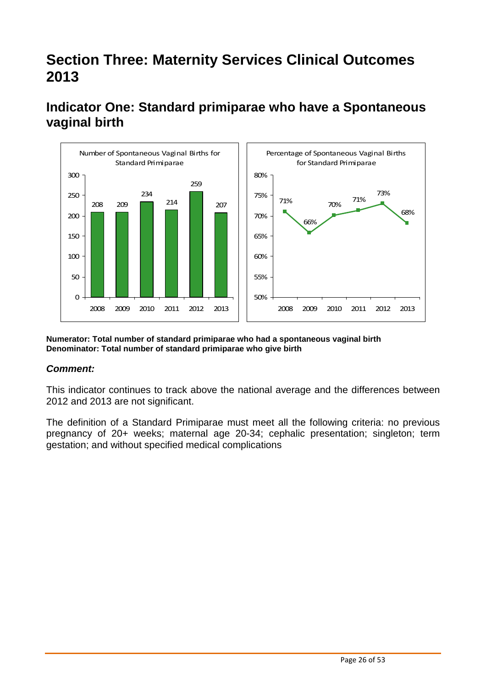# **Section Three: Maternity Services Clinical Outcomes 2013**



# **Indicator One: Standard primiparae who have a Spontaneous vaginal birth**

**Numerator: Total number of standard primiparae who had a spontaneous vaginal birth Denominator: Total number of standard primiparae who give birth** 

#### **Comment:**

This indicator continues to track above the national average and the differences between 2012 and 2013 are not significant.

The definition of a Standard Primiparae must meet all the following criteria: no previous pregnancy of 20+ weeks; maternal age 20-34; cephalic presentation; singleton; term gestation; and without specified medical complications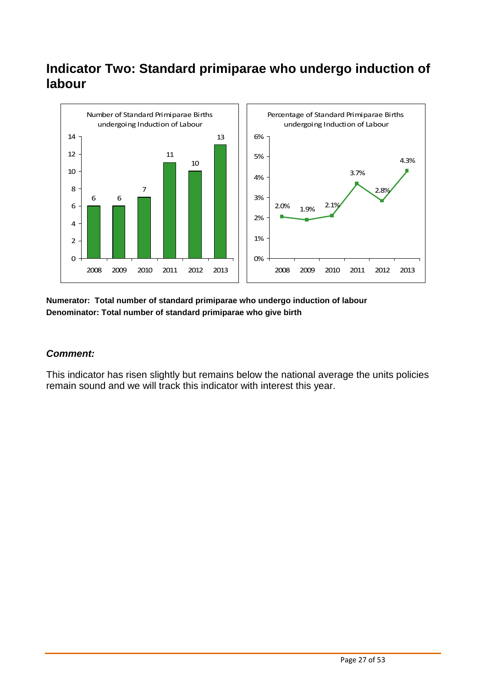# **Indicator Two: Standard primiparae who undergo induction of labour**



#### **Numerator: Total number of standard primiparae who undergo induction of labour Denominator: Total number of standard primiparae who give birth**

#### **Comment:**

This indicator has risen slightly but remains below the national average the units policies remain sound and we will track this indicator with interest this year.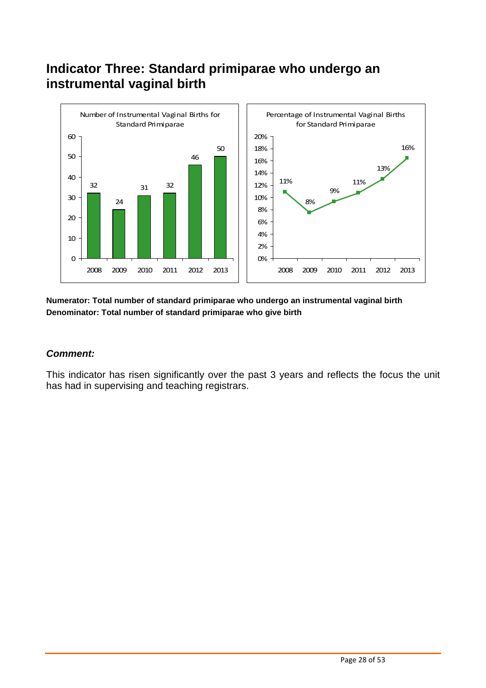# **Indicator Three: Standard primiparae who undergo an instrumental vaginal birth**



#### **Numerator: Total number of standard primiparae who undergo an instrumental vaginal birth Denominator: Total number of standard primiparae who give birth**

#### **Comment:**

This indicator has risen significantly over the past 3 years and reflects the focus the unit has had in supervising and teaching registrars.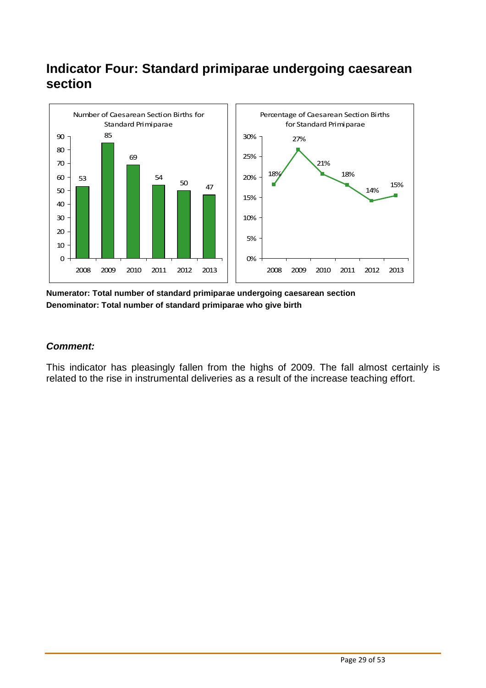# **Indicator Four: Standard primiparae undergoing caesarean section**



**Numerator: Total number of standard primiparae undergoing caesarean section Denominator: Total number of standard primiparae who give birth** 

#### **Comment:**

This indicator has pleasingly fallen from the highs of 2009. The fall almost certainly is related to the rise in instrumental deliveries as a result of the increase teaching effort.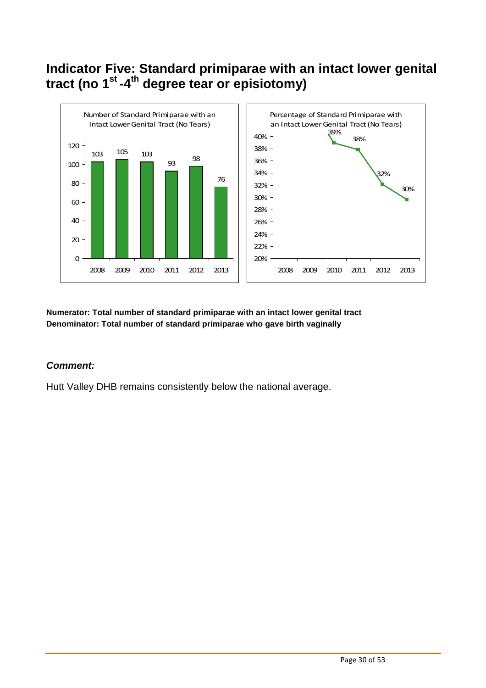# **Indicator Five: Standard primiparae with an intact lower genital tract (no 1st -4th degree tear or episiotomy)**



**Numerator: Total number of standard primiparae with an intact lower genital tract Denominator: Total number of standard primiparae who gave birth vaginally** 

#### **Comment:**

Hutt Valley DHB remains consistently below the national average.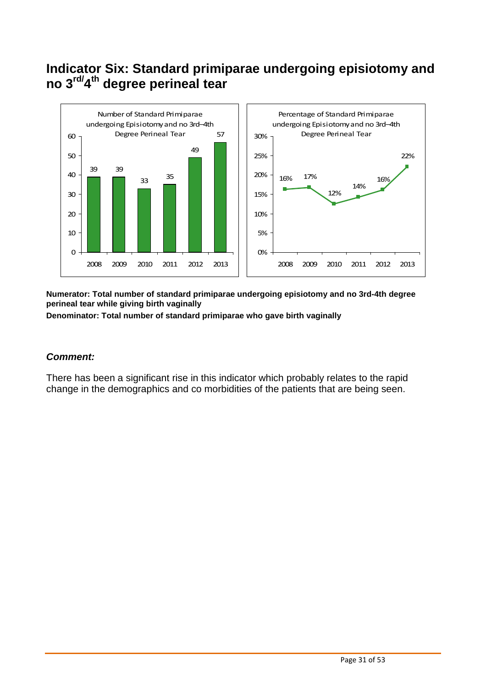# **Indicator Six: Standard primiparae undergoing episiotomy and no 3rd/4 th degree perineal tear**



**Numerator: Total number of standard primiparae undergoing episiotomy and no 3rd-4th degree perineal tear while giving birth vaginally** 

**Denominator: Total number of standard primiparae who gave birth vaginally** 

#### **Comment:**

There has been a significant rise in this indicator which probably relates to the rapid change in the demographics and co morbidities of the patients that are being seen.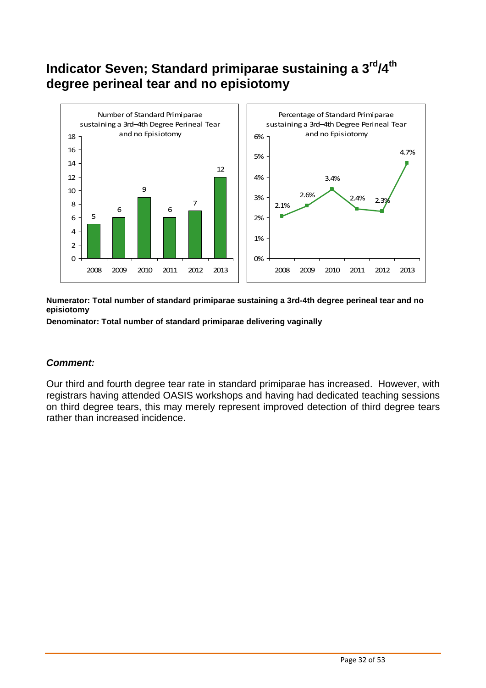# **Indicator Seven; Standard primiparae sustaining a 3rd/4th degree perineal tear and no episiotomy**



**Numerator: Total number of standard primiparae sustaining a 3rd-4th degree perineal tear and no episiotomy** 

**Denominator: Total number of standard primiparae delivering vaginally** 

#### **Comment:**

Our third and fourth degree tear rate in standard primiparae has increased. However, with registrars having attended OASIS workshops and having had dedicated teaching sessions on third degree tears, this may merely represent improved detection of third degree tears rather than increased incidence.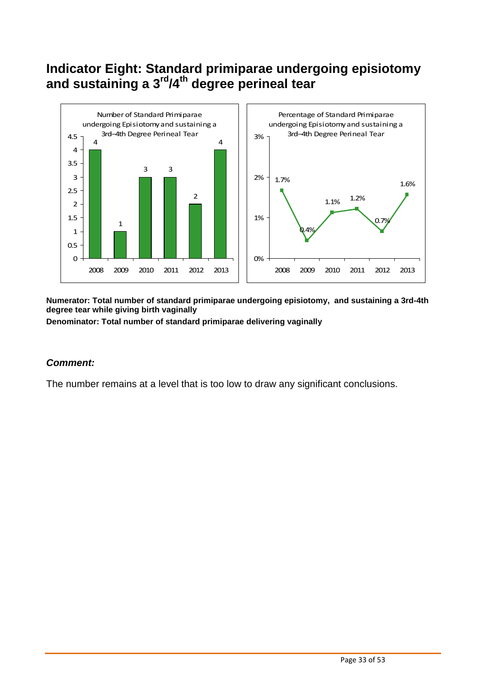# **Indicator Eight: Standard primiparae undergoing episiotomy and sustaining a 3rd/4th degree perineal tear**



**Numerator: Total number of standard primiparae undergoing episiotomy, and sustaining a 3rd-4th degree tear while giving birth vaginally** 

**Denominator: Total number of standard primiparae delivering vaginally** 

#### **Comment:**

The number remains at a level that is too low to draw any significant conclusions.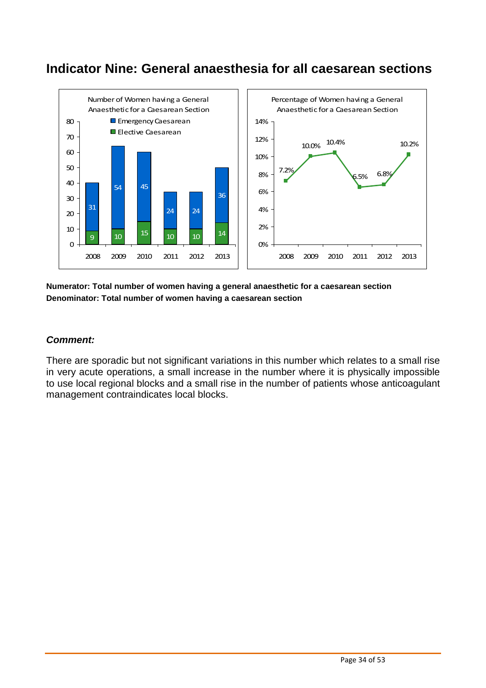# **Indicator Nine: General anaesthesia for all caesarean sections**



#### **Numerator: Total number of women having a general anaesthetic for a caesarean section Denominator: Total number of women having a caesarean section**

#### **Comment:**

There are sporadic but not significant variations in this number which relates to a small rise in very acute operations, a small increase in the number where it is physically impossible to use local regional blocks and a small rise in the number of patients whose anticoagulant management contraindicates local blocks.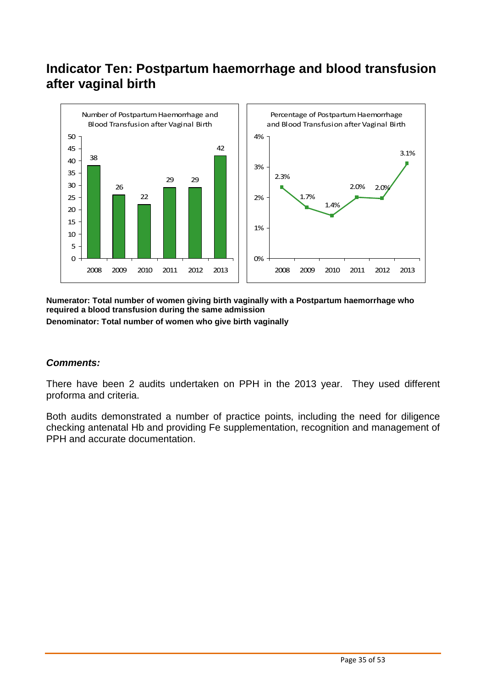# **Indicator Ten: Postpartum haemorrhage and blood transfusion after vaginal birth**



**Numerator: Total number of women giving birth vaginally with a Postpartum haemorrhage who required a blood transfusion during the same admission Denominator: Total number of women who give birth vaginally** 

#### **Comments:**

There have been 2 audits undertaken on PPH in the 2013 year. They used different proforma and criteria.

Both audits demonstrated a number of practice points, including the need for diligence checking antenatal Hb and providing Fe supplementation, recognition and management of PPH and accurate documentation.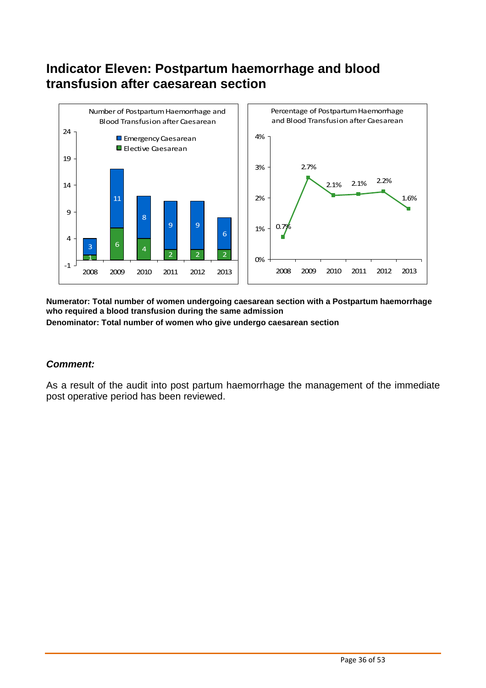# **Indicator Eleven: Postpartum haemorrhage and blood transfusion after caesarean section**



**Numerator: Total number of women undergoing caesarean section with a Postpartum haemorrhage who required a blood transfusion during the same admission** 

**Denominator: Total number of women who give undergo caesarean section** 

#### **Comment:**

As a result of the audit into post partum haemorrhage the management of the immediate post operative period has been reviewed.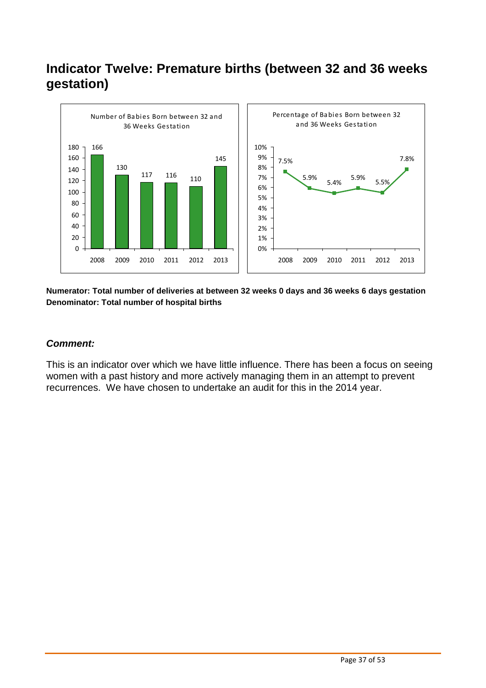# **Indicator Twelve: Premature births (between 32 and 36 weeks gestation)**



**Numerator: Total number of deliveries at between 32 weeks 0 days and 36 weeks 6 days gestation Denominator: Total number of hospital births** 

#### **Comment:**

This is an indicator over which we have little influence. There has been a focus on seeing women with a past history and more actively managing them in an attempt to prevent recurrences. We have chosen to undertake an audit for this in the 2014 year.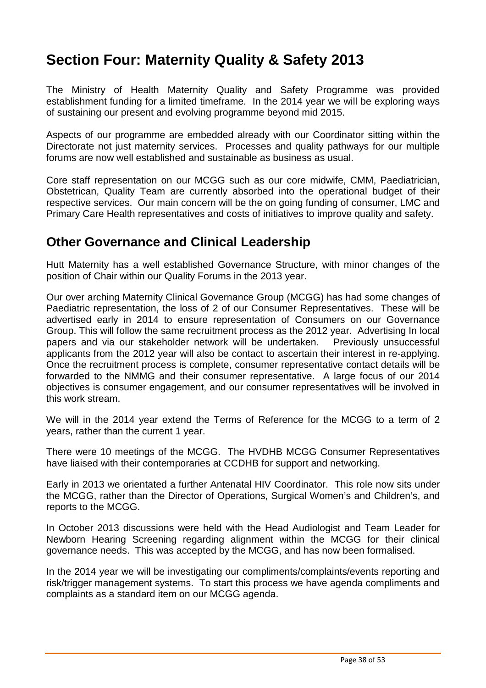# **Section Four: Maternity Quality & Safety 2013**

The Ministry of Health Maternity Quality and Safety Programme was provided establishment funding for a limited timeframe. In the 2014 year we will be exploring ways of sustaining our present and evolving programme beyond mid 2015.

Aspects of our programme are embedded already with our Coordinator sitting within the Directorate not just maternity services. Processes and quality pathways for our multiple forums are now well established and sustainable as business as usual.

Core staff representation on our MCGG such as our core midwife, CMM, Paediatrician, Obstetrican, Quality Team are currently absorbed into the operational budget of their respective services. Our main concern will be the on going funding of consumer, LMC and Primary Care Health representatives and costs of initiatives to improve quality and safety.

### **Other Governance and Clinical Leadership**

Hutt Maternity has a well established Governance Structure, with minor changes of the position of Chair within our Quality Forums in the 2013 year.

Our over arching Maternity Clinical Governance Group (MCGG) has had some changes of Paediatric representation, the loss of 2 of our Consumer Representatives. These will be advertised early in 2014 to ensure representation of Consumers on our Governance Group. This will follow the same recruitment process as the 2012 year. Advertising In local papers and via our stakeholder network will be undertaken. Previously unsuccessful applicants from the 2012 year will also be contact to ascertain their interest in re-applying. Once the recruitment process is complete, consumer representative contact details will be forwarded to the NMMG and their consumer representative. A large focus of our 2014 objectives is consumer engagement, and our consumer representatives will be involved in this work stream.

We will in the 2014 year extend the Terms of Reference for the MCGG to a term of 2 years, rather than the current 1 year.

There were 10 meetings of the MCGG. The HVDHB MCGG Consumer Representatives have liaised with their contemporaries at CCDHB for support and networking.

Early in 2013 we orientated a further Antenatal HIV Coordinator. This role now sits under the MCGG, rather than the Director of Operations, Surgical Women's and Children's, and reports to the MCGG.

In October 2013 discussions were held with the Head Audiologist and Team Leader for Newborn Hearing Screening regarding alignment within the MCGG for their clinical governance needs. This was accepted by the MCGG, and has now been formalised.

In the 2014 year we will be investigating our compliments/complaints/events reporting and risk/trigger management systems. To start this process we have agenda compliments and complaints as a standard item on our MCGG agenda.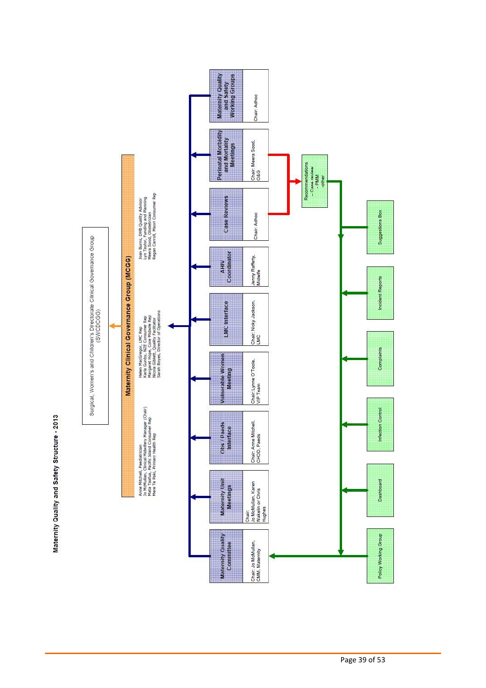

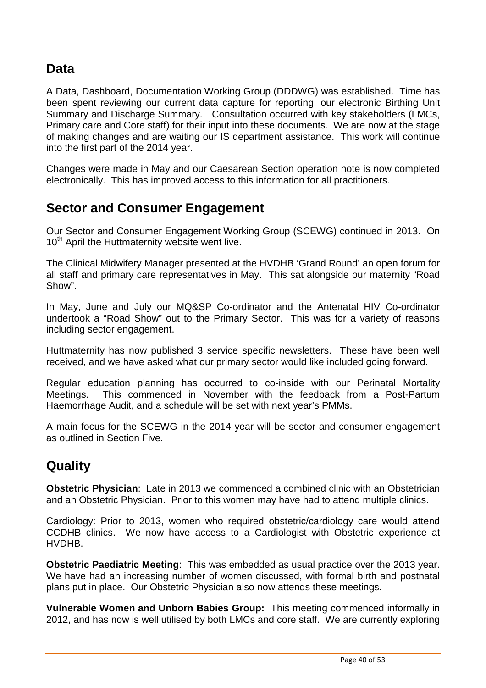# **Data**

A Data, Dashboard, Documentation Working Group (DDDWG) was established. Time has been spent reviewing our current data capture for reporting, our electronic Birthing Unit Summary and Discharge Summary. Consultation occurred with key stakeholders (LMCs, Primary care and Core staff) for their input into these documents. We are now at the stage of making changes and are waiting our IS department assistance. This work will continue into the first part of the 2014 year.

Changes were made in May and our Caesarean Section operation note is now completed electronically. This has improved access to this information for all practitioners.

# **Sector and Consumer Engagement**

Our Sector and Consumer Engagement Working Group (SCEWG) continued in 2013. On 10<sup>th</sup> April the Huttmaternity website went live.

The Clinical Midwifery Manager presented at the HVDHB 'Grand Round' an open forum for all staff and primary care representatives in May. This sat alongside our maternity "Road Show".

In May, June and July our MQ&SP Co-ordinator and the Antenatal HIV Co-ordinator undertook a "Road Show" out to the Primary Sector. This was for a variety of reasons including sector engagement.

Huttmaternity has now published 3 service specific newsletters. These have been well received, and we have asked what our primary sector would like included going forward.

Regular education planning has occurred to co-inside with our Perinatal Mortality Meetings. This commenced in November with the feedback from a Post-Partum Haemorrhage Audit, and a schedule will be set with next year's PMMs.

A main focus for the SCEWG in the 2014 year will be sector and consumer engagement as outlined in Section Five.

# **Quality**

**Obstetric Physician**: Late in 2013 we commenced a combined clinic with an Obstetrician and an Obstetric Physician. Prior to this women may have had to attend multiple clinics.

Cardiology: Prior to 2013, women who required obstetric/cardiology care would attend CCDHB clinics. We now have access to a Cardiologist with Obstetric experience at HVDHB.

**Obstetric Paediatric Meeting**: This was embedded as usual practice over the 2013 year. We have had an increasing number of women discussed, with formal birth and postnatal plans put in place. Our Obstetric Physician also now attends these meetings.

**Vulnerable Women and Unborn Babies Group:** This meeting commenced informally in 2012, and has now is well utilised by both LMCs and core staff. We are currently exploring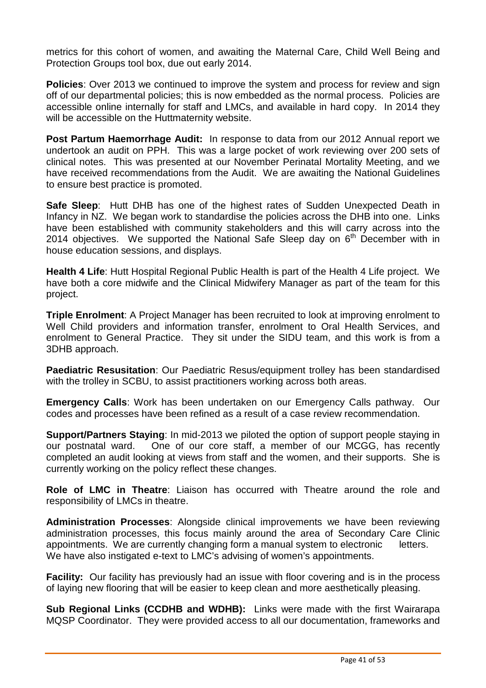metrics for this cohort of women, and awaiting the Maternal Care, Child Well Being and Protection Groups tool box, due out early 2014.

**Policies**: Over 2013 we continued to improve the system and process for review and sign off of our departmental policies; this is now embedded as the normal process. Policies are accessible online internally for staff and LMCs, and available in hard copy. In 2014 they will be accessible on the Huttmaternity website.

**Post Partum Haemorrhage Audit:** In response to data from our 2012 Annual report we undertook an audit on PPH. This was a large pocket of work reviewing over 200 sets of clinical notes. This was presented at our November Perinatal Mortality Meeting, and we have received recommendations from the Audit. We are awaiting the National Guidelines to ensure best practice is promoted.

**Safe Sleep**: Hutt DHB has one of the highest rates of Sudden Unexpected Death in Infancy in NZ. We began work to standardise the policies across the DHB into one. Links have been established with community stakeholders and this will carry across into the 2014 objectives. We supported the National Safe Sleep day on  $6<sup>th</sup>$  December with in house education sessions, and displays.

**Health 4 Life**: Hutt Hospital Regional Public Health is part of the Health 4 Life project. We have both a core midwife and the Clinical Midwifery Manager as part of the team for this project.

**Triple Enrolment**: A Project Manager has been recruited to look at improving enrolment to Well Child providers and information transfer, enrolment to Oral Health Services, and enrolment to General Practice. They sit under the SIDU team, and this work is from a 3DHB approach.

**Paediatric Resusitation**: Our Paediatric Resus/equipment trolley has been standardised with the trolley in SCBU, to assist practitioners working across both areas.

**Emergency Calls**: Work has been undertaken on our Emergency Calls pathway. Our codes and processes have been refined as a result of a case review recommendation.

**Support/Partners Staving:** In mid-2013 we piloted the option of support people staving in our postnatal ward. One of our core staff, a member of our MCGG, has recently completed an audit looking at views from staff and the women, and their supports. She is currently working on the policy reflect these changes.

**Role of LMC in Theatre**: Liaison has occurred with Theatre around the role and responsibility of LMCs in theatre.

**Administration Processes**: Alongside clinical improvements we have been reviewing administration processes, this focus mainly around the area of Secondary Care Clinic appointments. We are currently changing form a manual system to electronic letters. We have also instigated e-text to LMC's advising of women's appointments.

**Facility:** Our facility has previously had an issue with floor covering and is in the process of laying new flooring that will be easier to keep clean and more aesthetically pleasing.

**Sub Regional Links (CCDHB and WDHB):** Links were made with the first Wairarapa MQSP Coordinator. They were provided access to all our documentation, frameworks and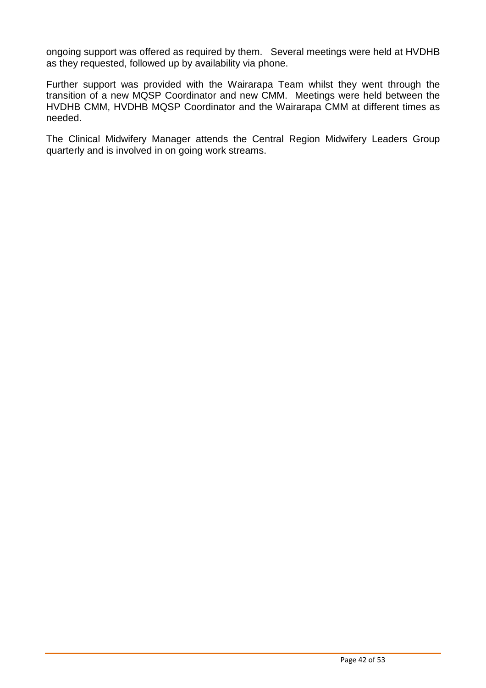ongoing support was offered as required by them. Several meetings were held at HVDHB as they requested, followed up by availability via phone.

Further support was provided with the Wairarapa Team whilst they went through the transition of a new MQSP Coordinator and new CMM. Meetings were held between the HVDHB CMM, HVDHB MQSP Coordinator and the Wairarapa CMM at different times as needed.

The Clinical Midwifery Manager attends the Central Region Midwifery Leaders Group quarterly and is involved in on going work streams.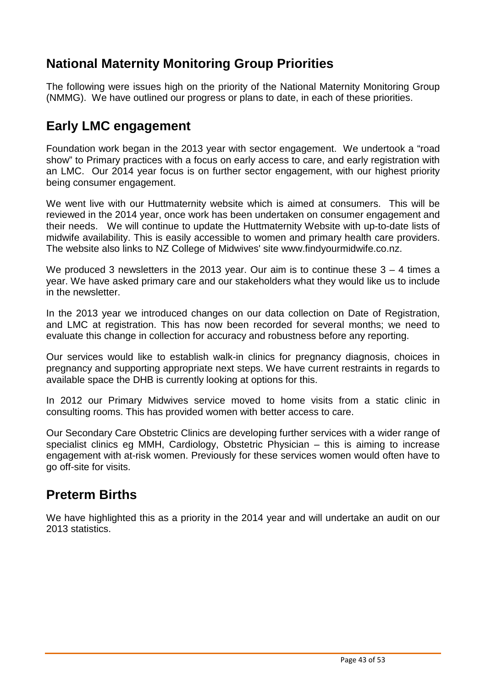# **National Maternity Monitoring Group Priorities**

The following were issues high on the priority of the National Maternity Monitoring Group (NMMG). We have outlined our progress or plans to date, in each of these priorities.

# **Early LMC engagement**

Foundation work began in the 2013 year with sector engagement. We undertook a "road show" to Primary practices with a focus on early access to care, and early registration with an LMC. Our 2014 year focus is on further sector engagement, with our highest priority being consumer engagement.

We went live with our Huttmaternity website which is aimed at consumers. This will be reviewed in the 2014 year, once work has been undertaken on consumer engagement and their needs. We will continue to update the Huttmaternity Website with up-to-date lists of midwife availability. This is easily accessible to women and primary health care providers. The website also links to NZ College of Midwives' site www.findyourmidwife.co.nz.

We produced 3 newsletters in the 2013 year. Our aim is to continue these  $3 - 4$  times a year. We have asked primary care and our stakeholders what they would like us to include in the newsletter.

In the 2013 year we introduced changes on our data collection on Date of Registration, and LMC at registration. This has now been recorded for several months; we need to evaluate this change in collection for accuracy and robustness before any reporting.

Our services would like to establish walk-in clinics for pregnancy diagnosis, choices in pregnancy and supporting appropriate next steps. We have current restraints in regards to available space the DHB is currently looking at options for this.

In 2012 our Primary Midwives service moved to home visits from a static clinic in consulting rooms. This has provided women with better access to care.

Our Secondary Care Obstetric Clinics are developing further services with a wider range of specialist clinics eg MMH, Cardiology, Obstetric Physician – this is aiming to increase engagement with at-risk women. Previously for these services women would often have to go off-site for visits.

### **Preterm Births**

We have highlighted this as a priority in the 2014 year and will undertake an audit on our 2013 statistics.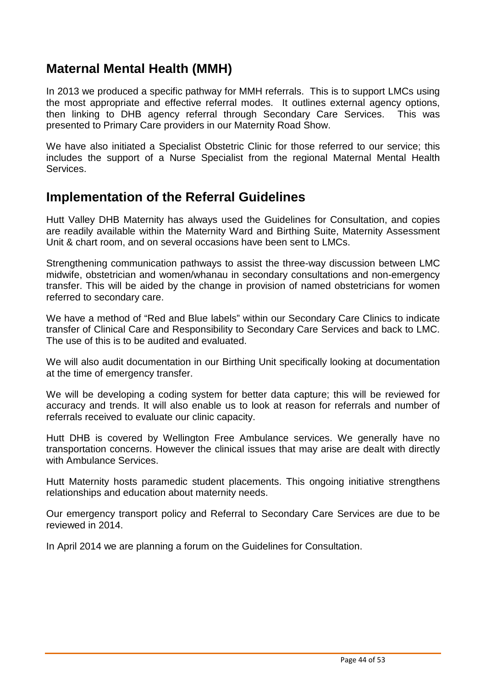# **Maternal Mental Health (MMH)**

In 2013 we produced a specific pathway for MMH referrals. This is to support LMCs using the most appropriate and effective referral modes. It outlines external agency options, then linking to DHB agency referral through Secondary Care Services. This was presented to Primary Care providers in our Maternity Road Show.

We have also initiated a Specialist Obstetric Clinic for those referred to our service; this includes the support of a Nurse Specialist from the regional Maternal Mental Health **Services** 

### **Implementation of the Referral Guidelines**

Hutt Valley DHB Maternity has always used the Guidelines for Consultation, and copies are readily available within the Maternity Ward and Birthing Suite, Maternity Assessment Unit & chart room, and on several occasions have been sent to LMCs.

Strengthening communication pathways to assist the three-way discussion between LMC midwife, obstetrician and women/whanau in secondary consultations and non-emergency transfer. This will be aided by the change in provision of named obstetricians for women referred to secondary care.

We have a method of "Red and Blue labels" within our Secondary Care Clinics to indicate transfer of Clinical Care and Responsibility to Secondary Care Services and back to LMC. The use of this is to be audited and evaluated.

We will also audit documentation in our Birthing Unit specifically looking at documentation at the time of emergency transfer.

We will be developing a coding system for better data capture; this will be reviewed for accuracy and trends. It will also enable us to look at reason for referrals and number of referrals received to evaluate our clinic capacity.

Hutt DHB is covered by Wellington Free Ambulance services. We generally have no transportation concerns. However the clinical issues that may arise are dealt with directly with Ambulance Services.

Hutt Maternity hosts paramedic student placements. This ongoing initiative strengthens relationships and education about maternity needs.

Our emergency transport policy and Referral to Secondary Care Services are due to be reviewed in 2014.

In April 2014 we are planning a forum on the Guidelines for Consultation.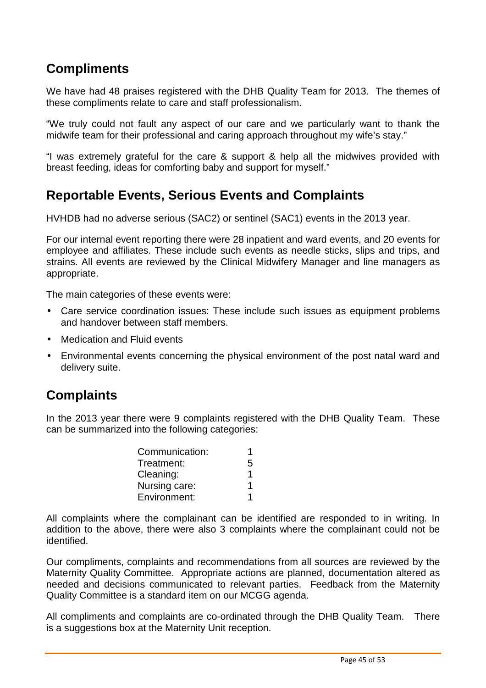# **Compliments**

We have had 48 praises registered with the DHB Quality Team for 2013. The themes of these compliments relate to care and staff professionalism.

"We truly could not fault any aspect of our care and we particularly want to thank the midwife team for their professional and caring approach throughout my wife's stay."

"I was extremely grateful for the care & support & help all the midwives provided with breast feeding, ideas for comforting baby and support for myself."

# **Reportable Events, Serious Events and Complaints**

HVHDB had no adverse serious (SAC2) or sentinel (SAC1) events in the 2013 year.

For our internal event reporting there were 28 inpatient and ward events, and 20 events for employee and affiliates. These include such events as needle sticks, slips and trips, and strains. All events are reviewed by the Clinical Midwifery Manager and line managers as appropriate.

The main categories of these events were:

- Care service coordination issues: These include such issues as equipment problems and handover between staff members.
- Medication and Fluid events
- Environmental events concerning the physical environment of the post natal ward and delivery suite.

### **Complaints**

In the 2013 year there were 9 complaints registered with the DHB Quality Team. These can be summarized into the following categories:

| Communication: |   |
|----------------|---|
| Treatment:     | 5 |
| Cleaning:      |   |
| Nursing care:  |   |
| Environment:   |   |

All complaints where the complainant can be identified are responded to in writing. In addition to the above, there were also 3 complaints where the complainant could not be identified.

Our compliments, complaints and recommendations from all sources are reviewed by the Maternity Quality Committee. Appropriate actions are planned, documentation altered as needed and decisions communicated to relevant parties. Feedback from the Maternity Quality Committee is a standard item on our MCGG agenda.

All compliments and complaints are co-ordinated through the DHB Quality Team. There is a suggestions box at the Maternity Unit reception.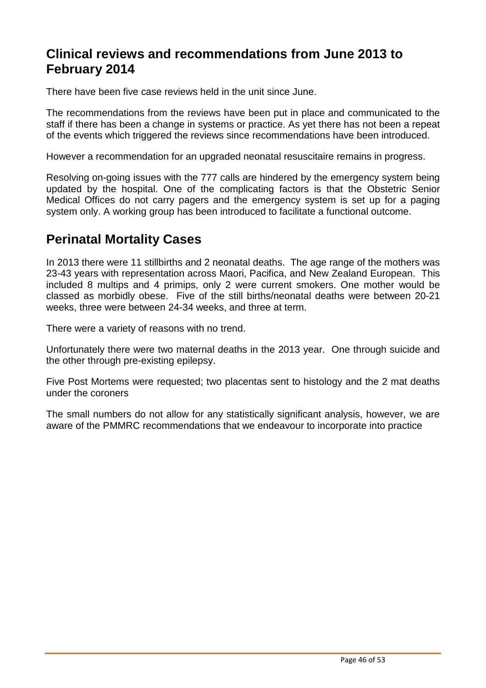# **Clinical reviews and recommendations from June 2013 to February 2014**

There have been five case reviews held in the unit since June.

The recommendations from the reviews have been put in place and communicated to the staff if there has been a change in systems or practice. As yet there has not been a repeat of the events which triggered the reviews since recommendations have been introduced.

However a recommendation for an upgraded neonatal resuscitaire remains in progress.

Resolving on-going issues with the 777 calls are hindered by the emergency system being updated by the hospital. One of the complicating factors is that the Obstetric Senior Medical Offices do not carry pagers and the emergency system is set up for a paging system only. A working group has been introduced to facilitate a functional outcome.

### **Perinatal Mortality Cases**

In 2013 there were 11 stillbirths and 2 neonatal deaths. The age range of the mothers was 23-43 years with representation across Maori, Pacifica, and New Zealand European. This included 8 multips and 4 primips, only 2 were current smokers. One mother would be classed as morbidly obese. Five of the still births/neonatal deaths were between 20-21 weeks, three were between 24-34 weeks, and three at term.

There were a variety of reasons with no trend.

Unfortunately there were two maternal deaths in the 2013 year. One through suicide and the other through pre-existing epilepsy.

Five Post Mortems were requested; two placentas sent to histology and the 2 mat deaths under the coroners

The small numbers do not allow for any statistically significant analysis, however, we are aware of the PMMRC recommendations that we endeavour to incorporate into practice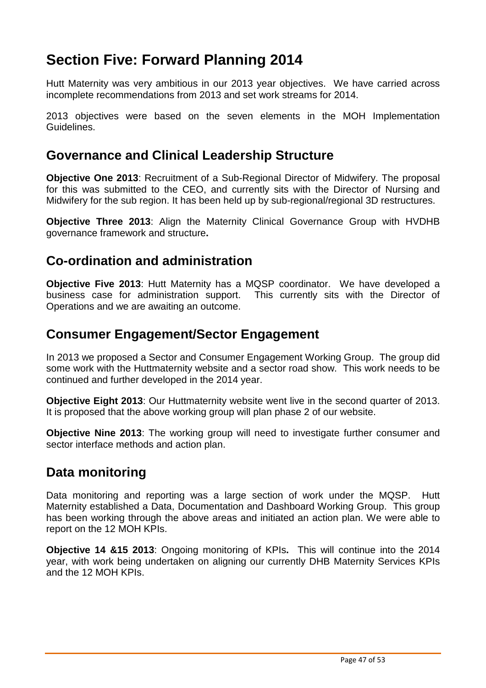# **Section Five: Forward Planning 2014**

Hutt Maternity was very ambitious in our 2013 year objectives. We have carried across incomplete recommendations from 2013 and set work streams for 2014.

2013 objectives were based on the seven elements in the MOH Implementation Guidelines.

### **Governance and Clinical Leadership Structure**

**Objective One 2013**: Recruitment of a Sub-Regional Director of Midwifery. The proposal for this was submitted to the CEO, and currently sits with the Director of Nursing and Midwifery for the sub region. It has been held up by sub-regional/regional 3D restructures.

**Objective Three 2013**: Align the Maternity Clinical Governance Group with HVDHB governance framework and structure**.**

### **Co-ordination and administration**

**Objective Five 2013**: Hutt Maternity has a MQSP coordinator. We have developed a business case for administration support. This currently sits with the Director of Operations and we are awaiting an outcome.

### **Consumer Engagement/Sector Engagement**

In 2013 we proposed a Sector and Consumer Engagement Working Group. The group did some work with the Huttmaternity website and a sector road show. This work needs to be continued and further developed in the 2014 year.

**Objective Eight 2013**: Our Huttmaternity website went live in the second quarter of 2013. It is proposed that the above working group will plan phase 2 of our website.

**Objective Nine 2013:** The working group will need to investigate further consumer and sector interface methods and action plan.

### **Data monitoring**

Data monitoring and reporting was a large section of work under the MQSP. Hutt Maternity established a Data, Documentation and Dashboard Working Group. This group has been working through the above areas and initiated an action plan. We were able to report on the 12 MOH KPIs.

**Objective 14 &15 2013**: Ongoing monitoring of KPIs**.** This will continue into the 2014 year, with work being undertaken on aligning our currently DHB Maternity Services KPIs and the 12 MOH KPIs.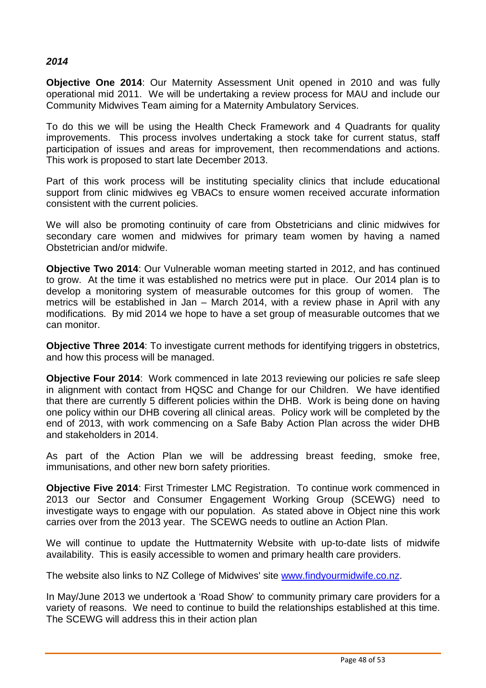#### **2014**

**Objective One 2014**: Our Maternity Assessment Unit opened in 2010 and was fully operational mid 2011. We will be undertaking a review process for MAU and include our Community Midwives Team aiming for a Maternity Ambulatory Services.

To do this we will be using the Health Check Framework and 4 Quadrants for quality improvements. This process involves undertaking a stock take for current status, staff participation of issues and areas for improvement, then recommendations and actions. This work is proposed to start late December 2013.

Part of this work process will be instituting speciality clinics that include educational support from clinic midwives eg VBACs to ensure women received accurate information consistent with the current policies.

We will also be promoting continuity of care from Obstetricians and clinic midwives for secondary care women and midwives for primary team women by having a named Obstetrician and/or midwife.

**Objective Two 2014**: Our Vulnerable woman meeting started in 2012, and has continued to grow. At the time it was established no metrics were put in place. Our 2014 plan is to develop a monitoring system of measurable outcomes for this group of women. The metrics will be established in Jan – March 2014, with a review phase in April with any modifications. By mid 2014 we hope to have a set group of measurable outcomes that we can monitor.

**Objective Three 2014:** To investigate current methods for identifying triggers in obstetrics, and how this process will be managed.

**Objective Four 2014**: Work commenced in late 2013 reviewing our policies re safe sleep in alignment with contact from HQSC and Change for our Children. We have identified that there are currently 5 different policies within the DHB. Work is being done on having one policy within our DHB covering all clinical areas. Policy work will be completed by the end of 2013, with work commencing on a Safe Baby Action Plan across the wider DHB and stakeholders in 2014.

As part of the Action Plan we will be addressing breast feeding, smoke free, immunisations, and other new born safety priorities.

**Objective Five 2014: First Trimester LMC Registration. To continue work commenced in** 2013 our Sector and Consumer Engagement Working Group (SCEWG) need to investigate ways to engage with our population. As stated above in Object nine this work carries over from the 2013 year. The SCEWG needs to outline an Action Plan.

We will continue to update the Huttmaternity Website with up-to-date lists of midwife availability. This is easily accessible to women and primary health care providers.

The website also links to NZ College of Midwives' site www.findyourmidwife.co.nz.

In May/June 2013 we undertook a 'Road Show' to community primary care providers for a variety of reasons. We need to continue to build the relationships established at this time. The SCEWG will address this in their action plan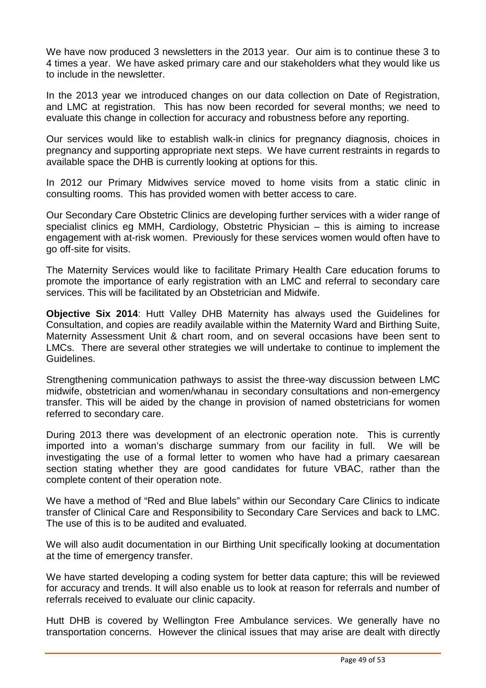We have now produced 3 newsletters in the 2013 year. Our aim is to continue these 3 to 4 times a year. We have asked primary care and our stakeholders what they would like us to include in the newsletter.

In the 2013 year we introduced changes on our data collection on Date of Registration, and LMC at registration. This has now been recorded for several months; we need to evaluate this change in collection for accuracy and robustness before any reporting.

Our services would like to establish walk-in clinics for pregnancy diagnosis, choices in pregnancy and supporting appropriate next steps. We have current restraints in regards to available space the DHB is currently looking at options for this.

In 2012 our Primary Midwives service moved to home visits from a static clinic in consulting rooms. This has provided women with better access to care.

Our Secondary Care Obstetric Clinics are developing further services with a wider range of specialist clinics eg MMH, Cardiology, Obstetric Physician – this is aiming to increase engagement with at-risk women. Previously for these services women would often have to go off-site for visits.

The Maternity Services would like to facilitate Primary Health Care education forums to promote the importance of early registration with an LMC and referral to secondary care services. This will be facilitated by an Obstetrician and Midwife.

**Objective Six 2014**: Hutt Valley DHB Maternity has always used the Guidelines for Consultation, and copies are readily available within the Maternity Ward and Birthing Suite, Maternity Assessment Unit & chart room, and on several occasions have been sent to LMCs. There are several other strategies we will undertake to continue to implement the Guidelines.

Strengthening communication pathways to assist the three-way discussion between LMC midwife, obstetrician and women/whanau in secondary consultations and non-emergency transfer. This will be aided by the change in provision of named obstetricians for women referred to secondary care.

During 2013 there was development of an electronic operation note. This is currently imported into a woman's discharge summary from our facility in full. We will be investigating the use of a formal letter to women who have had a primary caesarean section stating whether they are good candidates for future VBAC, rather than the complete content of their operation note.

We have a method of "Red and Blue labels" within our Secondary Care Clinics to indicate transfer of Clinical Care and Responsibility to Secondary Care Services and back to LMC. The use of this is to be audited and evaluated.

We will also audit documentation in our Birthing Unit specifically looking at documentation at the time of emergency transfer.

We have started developing a coding system for better data capture; this will be reviewed for accuracy and trends. It will also enable us to look at reason for referrals and number of referrals received to evaluate our clinic capacity.

Hutt DHB is covered by Wellington Free Ambulance services. We generally have no transportation concerns. However the clinical issues that may arise are dealt with directly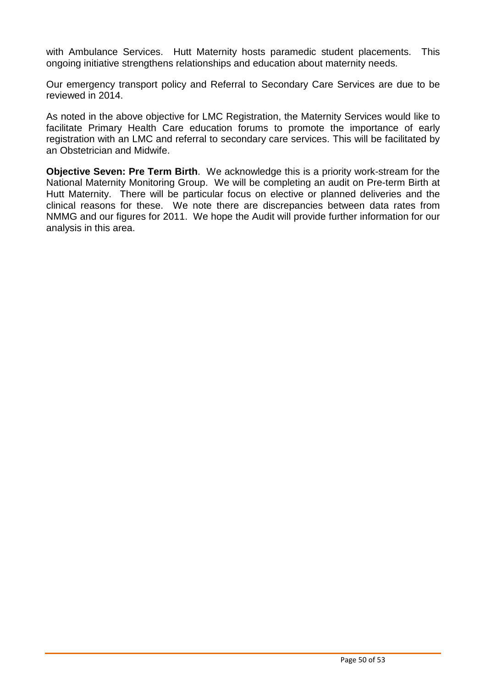with Ambulance Services. Hutt Maternity hosts paramedic student placements. This ongoing initiative strengthens relationships and education about maternity needs.

Our emergency transport policy and Referral to Secondary Care Services are due to be reviewed in 2014.

As noted in the above objective for LMC Registration, the Maternity Services would like to facilitate Primary Health Care education forums to promote the importance of early registration with an LMC and referral to secondary care services. This will be facilitated by an Obstetrician and Midwife.

**Objective Seven: Pre Term Birth**. We acknowledge this is a priority work-stream for the National Maternity Monitoring Group. We will be completing an audit on Pre-term Birth at Hutt Maternity. There will be particular focus on elective or planned deliveries and the clinical reasons for these. We note there are discrepancies between data rates from NMMG and our figures for 2011. We hope the Audit will provide further information for our analysis in this area.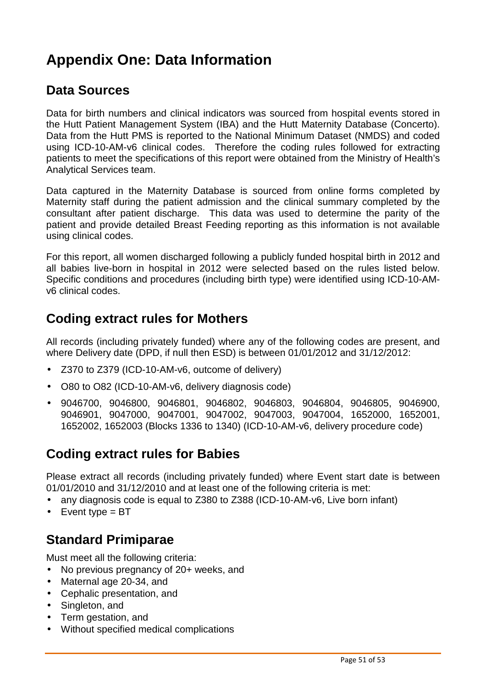# **Appendix One: Data Information**

# **Data Sources**

Data for birth numbers and clinical indicators was sourced from hospital events stored in the Hutt Patient Management System (IBA) and the Hutt Maternity Database (Concerto). Data from the Hutt PMS is reported to the National Minimum Dataset (NMDS) and coded using ICD-10-AM-v6 clinical codes. Therefore the coding rules followed for extracting patients to meet the specifications of this report were obtained from the Ministry of Health's Analytical Services team.

Data captured in the Maternity Database is sourced from online forms completed by Maternity staff during the patient admission and the clinical summary completed by the consultant after patient discharge. This data was used to determine the parity of the patient and provide detailed Breast Feeding reporting as this information is not available using clinical codes.

For this report, all women discharged following a publicly funded hospital birth in 2012 and all babies live-born in hospital in 2012 were selected based on the rules listed below. Specific conditions and procedures (including birth type) were identified using ICD-10-AMv6 clinical codes.

# **Coding extract rules for Mothers**

All records (including privately funded) where any of the following codes are present, and where Delivery date (DPD, if null then ESD) is between 01/01/2012 and 31/12/2012:

- Z370 to Z379 (ICD-10-AM-v6, outcome of delivery)
- O80 to O82 (ICD-10-AM-v6, delivery diagnosis code)
- 9046700, 9046800, 9046801, 9046802, 9046803, 9046804, 9046805, 9046900, 9046901, 9047000, 9047001, 9047002, 9047003, 9047004, 1652000, 1652001, 1652002, 1652003 (Blocks 1336 to 1340) (ICD-10-AM-v6, delivery procedure code)

### **Coding extract rules for Babies**

Please extract all records (including privately funded) where Event start date is between 01/01/2010 and 31/12/2010 and at least one of the following criteria is met:

- any diagnosis code is equal to Z380 to Z388 (ICD-10-AM-v6, Live born infant)
- Event type  $= BT$

### **Standard Primiparae**

Must meet all the following criteria:

- No previous pregnancy of 20+ weeks, and
- Maternal age 20-34, and
- Cephalic presentation, and
- Singleton, and
- Term gestation, and
- Without specified medical complications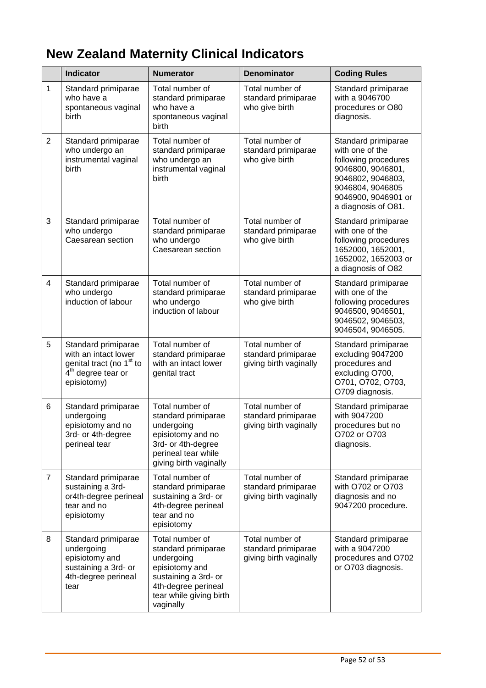# **New Zealand Maternity Clinical Indicators**

|                | <b>Indicator</b>                                                                                                                     | <b>Numerator</b>                                                                                                                                              | <b>Denominator</b>                                               | <b>Coding Rules</b>                                                                                                                                                        |
|----------------|--------------------------------------------------------------------------------------------------------------------------------------|---------------------------------------------------------------------------------------------------------------------------------------------------------------|------------------------------------------------------------------|----------------------------------------------------------------------------------------------------------------------------------------------------------------------------|
| 1              | Standard primiparae<br>who have a<br>spontaneous vaginal<br>birth                                                                    | Total number of<br>standard primiparae<br>who have a<br>spontaneous vaginal<br>birth                                                                          | Total number of<br>standard primiparae<br>who give birth         | Standard primiparae<br>with a 9046700<br>procedures or O80<br>diagnosis.                                                                                                   |
| $\overline{2}$ | Standard primiparae<br>who undergo an<br>instrumental vaginal<br>birth                                                               | Total number of<br>standard primiparae<br>who undergo an<br>instrumental vaginal<br>birth                                                                     | Total number of<br>standard primiparae<br>who give birth         | Standard primiparae<br>with one of the<br>following procedures<br>9046800, 9046801,<br>9046802, 9046803,<br>9046804, 9046805<br>9046900, 9046901 or<br>a diagnosis of O81. |
| 3              | Standard primiparae<br>who undergo<br>Caesarean section                                                                              | Total number of<br>standard primiparae<br>who undergo<br>Caesarean section                                                                                    | Total number of<br>standard primiparae<br>who give birth         | Standard primiparae<br>with one of the<br>following procedures<br>1652000, 1652001,<br>1652002, 1652003 or<br>a diagnosis of O82                                           |
| 4              | Standard primiparae<br>who undergo<br>induction of labour                                                                            | Total number of<br>standard primiparae<br>who undergo<br>induction of labour                                                                                  | Total number of<br>standard primiparae<br>who give birth         | Standard primiparae<br>with one of the<br>following procedures<br>9046500, 9046501,<br>9046502, 9046503,<br>9046504, 9046505.                                              |
| 5              | Standard primiparae<br>with an intact lower<br>genital tract (no 1 <sup>st</sup> to<br>4 <sup>th</sup> degree tear or<br>episiotomy) | Total number of<br>standard primiparae<br>with an intact lower<br>genital tract                                                                               | Total number of<br>standard primiparae<br>giving birth vaginally | Standard primiparae<br>excluding 9047200<br>procedures and<br>excluding O700,<br>0701, 0702, 0703,<br>O709 diagnosis.                                                      |
| 6              | Standard primiparae<br>undergoing<br>episiotomy and no<br>3rd- or 4th-degree<br>perineal tear                                        | Total number of<br>standard primiparae<br>undergoing<br>episiotomy and no<br>3rd- or 4th-degree<br>perineal tear while<br>giving birth vaginally              | Total number of<br>standard primiparae<br>giving birth vaginally | Standard primiparae<br>with 9047200<br>procedures but no<br>O702 or O703<br>diagnosis.                                                                                     |
| $\overline{7}$ | Standard primiparae<br>sustaining a 3rd-<br>or4th-degree perineal<br>tear and no<br>episiotomy                                       | Total number of<br>standard primiparae<br>sustaining a 3rd- or<br>4th-degree perineal<br>tear and no<br>episiotomy                                            | Total number of<br>standard primiparae<br>giving birth vaginally | Standard primiparae<br>with O702 or O703<br>diagnosis and no<br>9047200 procedure.                                                                                         |
| 8              | Standard primiparae<br>undergoing<br>episiotomy and<br>sustaining a 3rd- or<br>4th-degree perineal<br>tear                           | Total number of<br>standard primiparae<br>undergoing<br>episiotomy and<br>sustaining a 3rd- or<br>4th-degree perineal<br>tear while giving birth<br>vaginally | Total number of<br>standard primiparae<br>giving birth vaginally | Standard primiparae<br>with a 9047200<br>procedures and O702<br>or O703 diagnosis.                                                                                         |